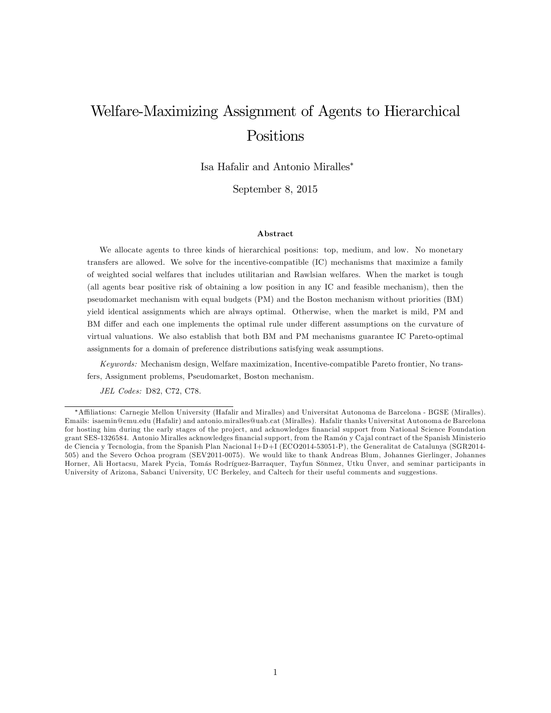# Welfare-Maximizing Assignment of Agents to Hierarchical Positions

Isa Hafalir and Antonio Miralles

September 8, 2015

#### Abstract

We allocate agents to three kinds of hierarchical positions: top, medium, and low. No monetary transfers are allowed. We solve for the incentive-compatible (IC) mechanisms that maximize a family of weighted social welfares that includes utilitarian and Rawlsian welfares. When the market is tough (all agents bear positive risk of obtaining a low position in any IC and feasible mechanism), then the pseudomarket mechanism with equal budgets (PM) and the Boston mechanism without priorities (BM) yield identical assignments which are always optimal. Otherwise, when the market is mild, PM and BM differ and each one implements the optimal rule under different assumptions on the curvature of virtual valuations. We also establish that both BM and PM mechanisms guarantee IC Pareto-optimal assignments for a domain of preference distributions satisfying weak assumptions.

Keywords: Mechanism design, Welfare maximization, Incentive-compatible Pareto frontier, No transfers, Assignment problems, Pseudomarket, Boston mechanism.

JEL Codes: D82, C72, C78.

A¢ liations: Carnegie Mellon University (Hafalir and Miralles) and Universitat Autonoma de Barcelona - BGSE (Miralles). Emails: isaemin@cmu.edu (Hafalir) and antonio.miralles@uab.cat (Miralles). Hafalir thanks Universitat Autonoma de Barcelona for hosting him during the early stages of the project, and acknowledges financial support from National Science Foundation grant SES-1326584. Antonio Miralles acknowledges financial support, from the Ramón y Cajal contract of the Spanish Ministerio de Ciencia y Tecnologia, from the Spanish Plan Nacional I+D+I (ECO2014-53051-P), the Generalitat de Catalunya (SGR2014- 505) and the Severo Ochoa program (SEV2011-0075). We would like to thank Andreas Blum, Johannes Gierlinger, Johannes Horner, Ali Hortacsu, Marek Pycia, Tomás Rodríguez-Barraquer, Tayfun Sönmez, Utku Ünver, and seminar participants in University of Arizona, Sabanci University, UC Berkeley, and Caltech for their useful comments and suggestions.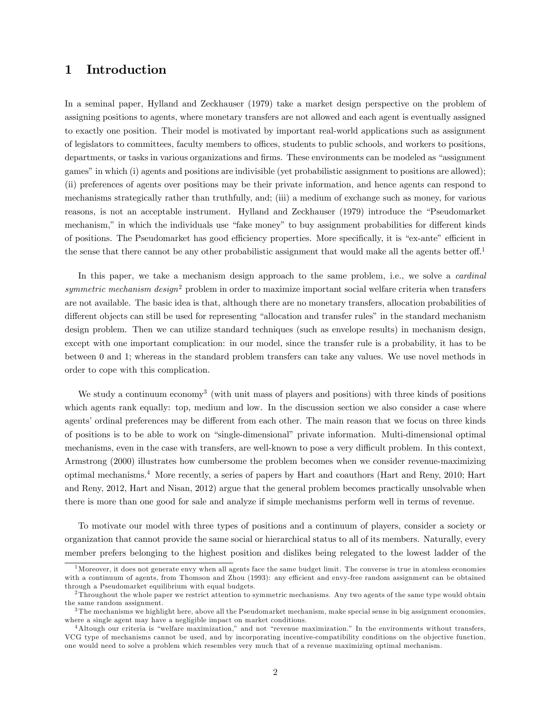### 1 Introduction

In a seminal paper, Hylland and Zeckhauser (1979) take a market design perspective on the problem of assigning positions to agents, where monetary transfers are not allowed and each agent is eventually assigned to exactly one position. Their model is motivated by important real-world applications such as assignment of legislators to committees, faculty members to offices, students to public schools, and workers to positions, departments, or tasks in various organizations and firms. These environments can be modeled as "assignment" games" in which (i) agents and positions are indivisible (yet probabilistic assignment to positions are allowed); (ii) preferences of agents over positions may be their private information, and hence agents can respond to mechanisms strategically rather than truthfully, and; (iii) a medium of exchange such as money, for various reasons, is not an acceptable instrument. Hylland and Zeckhauser (1979) introduce the "Pseudomarket mechanism," in which the individuals use "fake money" to buy assignment probabilities for different kinds of positions. The Pseudomarket has good efficiency properties. More specifically, it is "ex-ante" efficient in the sense that there cannot be any other probabilistic assignment that would make all the agents better off.<sup>1</sup>

In this paper, we take a mechanism design approach to the same problem, i.e., we solve a *cardinal* symmetric mechanism design<sup>2</sup> problem in order to maximize important social welfare criteria when transfers are not available. The basic idea is that, although there are no monetary transfers, allocation probabilities of different objects can still be used for representing "allocation and transfer rules" in the standard mechanism design problem. Then we can utilize standard techniques (such as envelope results) in mechanism design, except with one important complication: in our model, since the transfer rule is a probability, it has to be between 0 and 1; whereas in the standard problem transfers can take any values. We use novel methods in order to cope with this complication.

We study a continuum economy<sup>3</sup> (with unit mass of players and positions) with three kinds of positions which agents rank equally: top, medium and low. In the discussion section we also consider a case where agents' ordinal preferences may be different from each other. The main reason that we focus on three kinds of positions is to be able to work on "single-dimensional" private information. Multi-dimensional optimal mechanisms, even in the case with transfers, are well-known to pose a very difficult problem. In this context, Armstrong (2000) illustrates how cumbersome the problem becomes when we consider revenue-maximizing optimal mechanisms.<sup>4</sup> More recently, a series of papers by Hart and coauthors (Hart and Reny, 2010; Hart and Reny, 2012, Hart and Nisan, 2012) argue that the general problem becomes practically unsolvable when there is more than one good for sale and analyze if simple mechanisms perform well in terms of revenue.

To motivate our model with three types of positions and a continuum of players, consider a society or organization that cannot provide the same social or hierarchical status to all of its members. Naturally, every member prefers belonging to the highest position and dislikes being relegated to the lowest ladder of the

 $<sup>1</sup>$  Moreover, it does not generate envy when all agents face the same budget limit. The converse is true in atomless economies</sup> with a continuum of agents, from Thomson and Zhou (1993): any efficient and envy-free random assignment can be obtained through a Pseudomarket equilibrium with equal budgets.

 $2$ Throughout the whole paper we restrict attention to symmetric mechanisms. Any two agents of the same type would obtain the same random assignment.

<sup>3</sup> The mechanisms we highlight here, above all the Pseudomarket mechanism, make special sense in big assignment economies, where a single agent may have a negligible impact on market conditions.

 $4$ Altough our criteria is "welfare maximization," and not "revenue maximization." In the environments without transfers, VCG type of mechanisms cannot be used, and by incorporating incentive-compatibility conditions on the objective function, one would need to solve a problem which resembles very much that of a revenue maximizing optimal mechanism.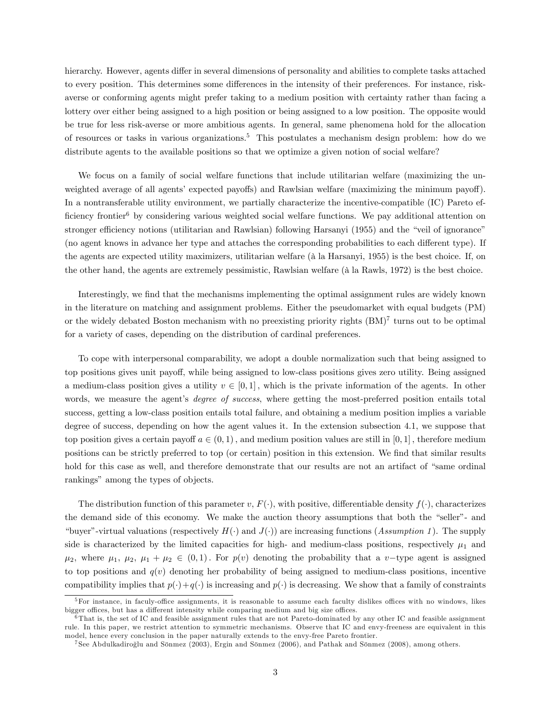hierarchy. However, agents differ in several dimensions of personality and abilities to complete tasks attached to every position. This determines some differences in the intensity of their preferences. For instance, riskaverse or conforming agents might prefer taking to a medium position with certainty rather than facing a lottery over either being assigned to a high position or being assigned to a low position. The opposite would be true for less risk-averse or more ambitious agents. In general, same phenomena hold for the allocation of resources or tasks in various organizations.<sup>5</sup> This postulates a mechanism design problem: how do we distribute agents to the available positions so that we optimize a given notion of social welfare?

We focus on a family of social welfare functions that include utilitarian welfare (maximizing the unweighted average of all agents' expected payoffs) and Rawlsian welfare (maximizing the minimum payoff). In a nontransferable utility environment, we partially characterize the incentive-compatible (IC) Pareto efficiency frontier<sup>6</sup> by considering various weighted social welfare functions. We pay additional attention on stronger efficiency notions (utilitarian and Rawlsian) following Harsanyi (1955) and the "veil of ignorance" (no agent knows in advance her type and attaches the corresponding probabilities to each different type). If the agents are expected utility maximizers, utilitarian welfare (à la Harsanyi, 1955) is the best choice. If, on the other hand, the agents are extremely pessimistic, Rawlsian welfare ( $\hat{a}$  la Rawls, 1972) is the best choice.

Interestingly, we find that the mechanisms implementing the optimal assignment rules are widely known in the literature on matching and assignment problems. Either the pseudomarket with equal budgets (PM) or the widely debated Boston mechanism with no preexisting priority rights  $(BM)^7$  turns out to be optimal for a variety of cases, depending on the distribution of cardinal preferences.

To cope with interpersonal comparability, we adopt a double normalization such that being assigned to top positions gives unit payoff, while being assigned to low-class positions gives zero utility. Being assigned a medium-class position gives a utility  $v \in [0, 1]$ , which is the private information of the agents. In other words, we measure the agent's *degree of success*, where getting the most-preferred position entails total success, getting a low-class position entails total failure, and obtaining a medium position implies a variable degree of success, depending on how the agent values it. In the extension subsection 4.1, we suppose that top position gives a certain payoff  $a \in (0,1)$ , and medium position values are still in [0,1], therefore medium positions can be strictly preferred to top (or certain) position in this extension. We Önd that similar results hold for this case as well, and therefore demonstrate that our results are not an artifact of "same ordinal" rankings" among the types of objects.

The distribution function of this parameter v,  $F(.)$ , with positive, differentiable density  $f(.)$ , characterizes the demand side of this economy. We make the auction theory assumptions that both the "seller"- and "buyer"-virtual valuations (respectively  $H(\cdot)$  and  $J(\cdot)$ ) are increasing functions (Assumption 1). The supply side is characterized by the limited capacities for high- and medium-class positions, respectively  $\mu_1$  and  $\mu_2$ , where  $\mu_1$ ,  $\mu_2$ ,  $\mu_1 + \mu_2 \in (0,1)$ . For  $p(v)$  denoting the probability that a v-type agent is assigned to top positions and  $q(v)$  denoting her probability of being assigned to medium-class positions, incentive compatibility implies that  $p(\cdot)+q(\cdot)$  is increasing and  $p(\cdot)$  is decreasing. We show that a family of constraints

 $5$ For instance, in faculy-office assignments, it is reasonable to assume each faculty dislikes offices with no windows, likes bigger offices, but has a different intensity while comparing medium and big size offices.

 ${}^{6}$ That is, the set of IC and feasible assignment rules that are not Pareto-dominated by any other IC and feasible assignment rule. In this paper, we restrict attention to symmetric mechanisms. Observe that IC and envy-freeness are equivalent in this model, hence every conclusion in the paper naturally extends to the envy-free Pareto frontier.

<sup>&</sup>lt;sup>7</sup> See Abdulkadiroğlu and Sönmez (2003), Ergin and Sönmez (2006), and Pathak and Sönmez (2008), among others.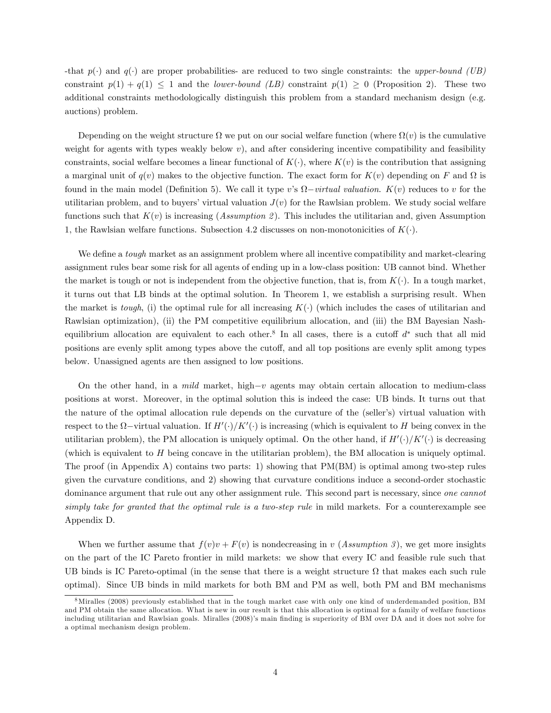-that  $p(\cdot)$  and  $q(\cdot)$  are proper probabilities- are reduced to two single constraints: the upper-bound (UB) constraint  $p(1) + q(1) \leq 1$  and the *lower-bound (LB)* constraint  $p(1) \geq 0$  (Proposition 2). These two additional constraints methodologically distinguish this problem from a standard mechanism design (e.g. auctions) problem.

Depending on the weight structure  $\Omega$  we put on our social welfare function (where  $\Omega(v)$  is the cumulative weight for agents with types weakly below  $v$ ), and after considering incentive compatibility and feasibility constraints, social welfare becomes a linear functional of  $K(.)$ , where  $K(v)$  is the contribution that assigning a marginal unit of  $q(v)$  makes to the objective function. The exact form for  $K(v)$  depending on F and  $\Omega$  is found in the main model (Definition 5). We call it type v's  $\Omega$ -virtual valuation.  $K(v)$  reduces to v for the utilitarian problem, and to buyers' virtual valuation  $J(v)$  for the Rawlsian problem. We study social welfare functions such that  $K(v)$  is increasing (Assumption 2). This includes the utilitarian and, given Assumption 1, the Rawlsian welfare functions. Subsection 4.2 discusses on non-monotonicities of  $K(\cdot)$ .

We define a *tough* market as an assignment problem where all incentive compatibility and market-clearing assignment rules bear some risk for all agents of ending up in a low-class position: UB cannot bind. Whether the market is tough or not is independent from the objective function, that is, from  $K(\cdot)$ . In a tough market, it turns out that LB binds at the optimal solution. In Theorem 1, we establish a surprising result. When the market is tough, (i) the optimal rule for all increasing  $K(\cdot)$  (which includes the cases of utilitarian and Rawlsian optimization), (ii) the PM competitive equilibrium allocation, and (iii) the BM Bayesian Nashequilibrium allocation are equivalent to each other.<sup>8</sup> In all cases, there is a cutoff  $d^*$  such that all mid positions are evenly split among types above the cutoff, and all top positions are evenly split among types below. Unassigned agents are then assigned to low positions.

On the other hand, in a mild market, high- $v$  agents may obtain certain allocation to medium-class positions at worst. Moreover, in the optimal solution this is indeed the case: UB binds. It turns out that the nature of the optimal allocation rule depends on the curvature of the (seller's) virtual valuation with respect to the  $\Omega$ -virtual valuation. If  $H'(\cdot)/K'(\cdot)$  is increasing (which is equivalent to H being convex in the utilitarian problem), the PM allocation is uniquely optimal. On the other hand, if  $H'(\cdot)/K'(\cdot)$  is decreasing (which is equivalent to  $H$  being concave in the utilitarian problem), the BM allocation is uniquely optimal. The proof (in Appendix A) contains two parts: 1) showing that PM(BM) is optimal among two-step rules given the curvature conditions, and 2) showing that curvature conditions induce a second-order stochastic dominance argument that rule out any other assignment rule. This second part is necessary, since one cannot simply take for granted that the optimal rule is a two-step rule in mild markets. For a counterexample see Appendix D.

When we further assume that  $f(v)v + F(v)$  is nondecreasing in v (Assumption 3), we get more insights on the part of the IC Pareto frontier in mild markets: we show that every IC and feasible rule such that UB binds is IC Pareto-optimal (in the sense that there is a weight structure  $\Omega$  that makes each such rule optimal). Since UB binds in mild markets for both BM and PM as well, both PM and BM mechanisms

<sup>8</sup>Miralles (2008) previously established that in the tough market case with only one kind of underdemanded position, BM and PM obtain the same allocation. What is new in our result is that this allocation is optimal for a family of welfare functions including utilitarian and Rawlsian goals. Miralles (2008)'s main finding is superiority of BM over DA and it does not solve for a optimal mechanism design problem.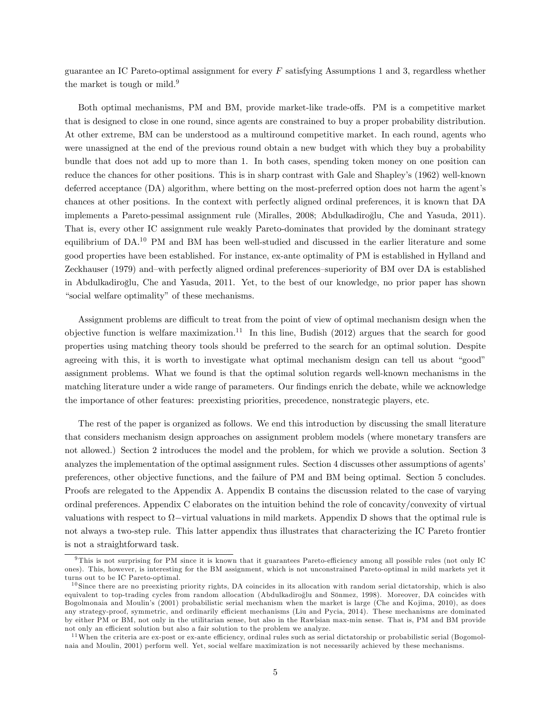guarantee an IC Pareto-optimal assignment for every F satisfying Assumptions 1 and 3, regardless whether the market is tough or mild. $9$ 

Both optimal mechanisms, PM and BM, provide market-like trade-offs. PM is a competitive market that is designed to close in one round, since agents are constrained to buy a proper probability distribution. At other extreme, BM can be understood as a multiround competitive market. In each round, agents who were unassigned at the end of the previous round obtain a new budget with which they buy a probability bundle that does not add up to more than 1. In both cases, spending token money on one position can reduce the chances for other positions. This is in sharp contrast with Gale and Shapley's (1962) well-known deferred acceptance (DA) algorithm, where betting on the most-preferred option does not harm the agent's chances at other positions. In the context with perfectly aligned ordinal preferences, it is known that DA implements a Pareto-pessimal assignment rule (Miralles, 2008; Abdulkadiroğlu, Che and Yasuda, 2011). That is, every other IC assignment rule weakly Pareto-dominates that provided by the dominant strategy equilibrium of DA.<sup>10</sup> PM and BM has been well-studied and discussed in the earlier literature and some good properties have been established. For instance, ex-ante optimality of PM is established in Hylland and Zeckhauser (1979) and–with perfectly aligned ordinal preferences–superiority of BM over DA is established in Abdulkadiroglu, Che and Yasuda, 2011. Yet, to the best of our knowledge, no prior paper has shown º "social welfare optimality" of these mechanisms.

Assignment problems are difficult to treat from the point of view of optimal mechanism design when the objective function is welfare maximization.<sup>11</sup> In this line, Budish (2012) argues that the search for good properties using matching theory tools should be preferred to the search for an optimal solution. Despite agreeing with this, it is worth to investigate what optimal mechanism design can tell us about "good" assignment problems. What we found is that the optimal solution regards well-known mechanisms in the matching literature under a wide range of parameters. Our findings enrich the debate, while we acknowledge the importance of other features: preexisting priorities, precedence, nonstrategic players, etc.

The rest of the paper is organized as follows. We end this introduction by discussing the small literature that considers mechanism design approaches on assignment problem models (where monetary transfers are not allowed.) Section 2 introduces the model and the problem, for which we provide a solution. Section 3 analyzes the implementation of the optimal assignment rules. Section 4 discusses other assumptions of agents' preferences, other objective functions, and the failure of PM and BM being optimal. Section 5 concludes. Proofs are relegated to the Appendix A. Appendix B contains the discussion related to the case of varying ordinal preferences. Appendix C elaborates on the intuition behind the role of concavity/convexity of virtual valuations with respect to  $\Omega$ -virtual valuations in mild markets. Appendix D shows that the optimal rule is not always a two-step rule. This latter appendix thus illustrates that characterizing the IC Pareto frontier is not a straightforward task.

 $9$ This is not surprising for PM since it is known that it guarantees Pareto-efficiency among all possible rules (not only IC ones). This, however, is interesting for the BM assignment, which is not unconstrained Pareto-optimal in mild markets yet it turns out to be IC Pareto-optimal.

<sup>&</sup>lt;sup>10</sup> Since there are no preexisting priority rights, DA coincides in its allocation with random serial dictatorship, which is also equivalent to top-trading cycles from random allocation (Abdulkadiroğlu and Sönmez, 1998). Moreover, DA coincides with Bogolmonaia and Moulin's (2001) probabilistic serial mechanism when the market is large (Che and Kojima, 2010), as does any strategy-proof, symmetric, and ordinarily efficient mechanisms (Liu and Pycia, 2014). These mechanisms are dominated by either PM or BM, not only in the utilitarian sense, but also in the Rawlsian max-min sense. That is, PM and BM provide not only an efficient solution but also a fair solution to the problem we analyze.

 $11$ When the criteria are ex-post or ex-ante efficiency, ordinal rules such as serial dictatorship or probabilistic serial (Bogomolnaia and Moulin, 2001) perform well. Yet, social welfare maximization is not necessarily achieved by these mechanisms.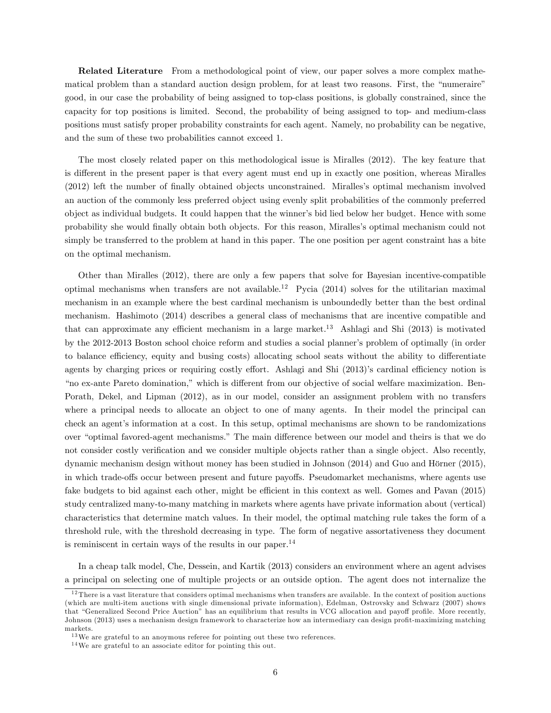Related Literature From a methodological point of view, our paper solves a more complex mathematical problem than a standard auction design problem, for at least two reasons. First, the "numeraire" good, in our case the probability of being assigned to top-class positions, is globally constrained, since the capacity for top positions is limited. Second, the probability of being assigned to top- and medium-class positions must satisfy proper probability constraints for each agent. Namely, no probability can be negative, and the sum of these two probabilities cannot exceed 1.

The most closely related paper on this methodological issue is Miralles (2012). The key feature that is different in the present paper is that every agent must end up in exactly one position, whereas Miralles (2012) left the number of finally obtained objects unconstrained. Miralles's optimal mechanism involved an auction of the commonly less preferred object using evenly split probabilities of the commonly preferred object as individual budgets. It could happen that the winnerís bid lied below her budget. Hence with some probability she would Önally obtain both objects. For this reason, Mirallesís optimal mechanism could not simply be transferred to the problem at hand in this paper. The one position per agent constraint has a bite on the optimal mechanism.

Other than Miralles (2012), there are only a few papers that solve for Bayesian incentive-compatible optimal mechanisms when transfers are not available.<sup>12</sup> Pycia (2014) solves for the utilitarian maximal mechanism in an example where the best cardinal mechanism is unboundedly better than the best ordinal mechanism. Hashimoto (2014) describes a general class of mechanisms that are incentive compatible and that can approximate any efficient mechanism in a large market.<sup>13</sup> Ashlagi and Shi (2013) is motivated by the 2012-2013 Boston school choice reform and studies a social planner's problem of optimally (in order to balance efficiency, equity and busing costs) allocating school seats without the ability to differentiate agents by charging prices or requiring costly effort. Ashlagi and Shi (2013)'s cardinal efficiency notion is *ino* ex-ante Pareto domination," which is different from our objective of social welfare maximization. Ben-Porath, Dekel, and Lipman (2012), as in our model, consider an assignment problem with no transfers where a principal needs to allocate an object to one of many agents. In their model the principal can check an agentís information at a cost. In this setup, optimal mechanisms are shown to be randomizations over "optimal favored-agent mechanisms." The main difference between our model and theirs is that we do not consider costly verification and we consider multiple objects rather than a single object. Also recently, dynamic mechanism design without money has been studied in Johnson  $(2014)$  and Guo and Hörner  $(2015)$ , in which trade-offs occur between present and future payoffs. Pseudomarket mechanisms, where agents use fake budgets to bid against each other, might be efficient in this context as well. Gomes and Pavan (2015) study centralized many-to-many matching in markets where agents have private information about (vertical) characteristics that determine match values. In their model, the optimal matching rule takes the form of a threshold rule, with the threshold decreasing in type. The form of negative assortativeness they document is reminiscent in certain ways of the results in our paper.<sup>14</sup>

In a cheap talk model, Che, Dessein, and Kartik (2013) considers an environment where an agent advises a principal on selecting one of multiple projects or an outside option. The agent does not internalize the

 $12$ There is a vast literature that considers optimal mechanisms when transfers are available. In the context of position auctions (which are multi-item auctions with single dimensional private information), Edelman, Ostrovsky and Schwarz (2007) shows that "Generalized Second Price Auction" has an equilibrium that results in VCG allocation and payoff profile. More recently, Johnson (2013) uses a mechanism design framework to characterize how an intermediary can design profit-maximizing matching markets.

<sup>&</sup>lt;sup>13</sup>We are grateful to an anoymous referee for pointing out these two references.

<sup>14</sup>We are grateful to an associate editor for pointing this out.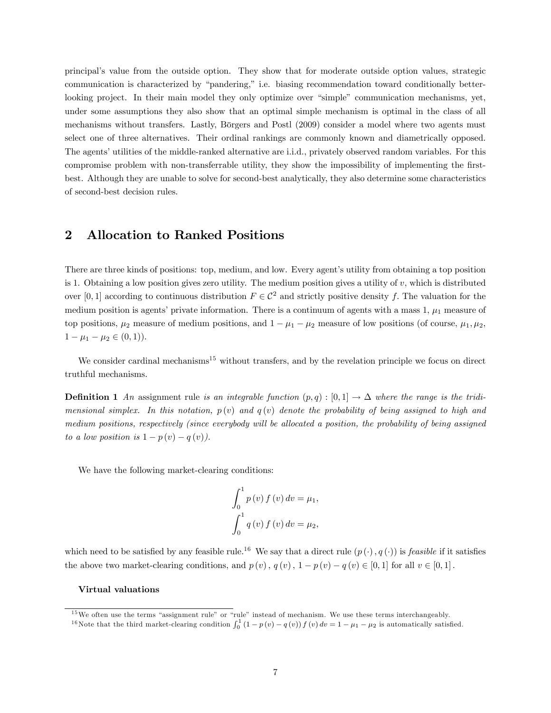principalís value from the outside option. They show that for moderate outside option values, strategic communication is characterized by "pandering," i.e. biasing recommendation toward conditionally betterlooking project. In their main model they only optimize over "simple" communication mechanisms, yet, under some assumptions they also show that an optimal simple mechanism is optimal in the class of all mechanisms without transfers. Lastly, Börgers and Postl (2009) consider a model where two agents must select one of three alternatives. Their ordinal rankings are commonly known and diametrically opposed. The agents' utilities of the middle-ranked alternative are i.i.d., privately observed random variables. For this compromise problem with non-transferrable utility, they show the impossibility of implementing the firstbest. Although they are unable to solve for second-best analytically, they also determine some characteristics of second-best decision rules.

### 2 Allocation to Ranked Positions

There are three kinds of positions: top, medium, and low. Every agent's utility from obtaining a top position is 1. Obtaining a low position gives zero utility. The medium position gives a utility of  $v$ , which is distributed over [0, 1] according to continuous distribution  $F \in C^2$  and strictly positive density f. The valuation for the medium position is agents' private information. There is a continuum of agents with a mass  $1, \mu_1$  measure of top positions,  $\mu_2$  measure of medium positions, and  $1 - \mu_1 - \mu_2$  measure of low positions (of course,  $\mu_1, \mu_2$ ,  $1 - \mu_1 - \mu_2 \in (0, 1)$ .

We consider cardinal mechanisms<sup>15</sup> without transfers, and by the revelation principle we focus on direct truthful mechanisms.

**Definition 1** An assignment rule is an integrable function  $(p,q): [0,1] \to \Delta$  where the range is the tridimensional simplex. In this notation,  $p(v)$  and  $q(v)$  denote the probability of being assigned to high and medium positions, respectively (since everybody will be allocated a position, the probability of being assigned to a low position is  $1 - p(v) - q(v)$ .

We have the following market-clearing conditions:

$$
\int_{0}^{1} p(v) f(v) dv = \mu_{1},
$$
  

$$
\int_{0}^{1} q(v) f(v) dv = \mu_{2},
$$

which need to be satisfied by any feasible rule.<sup>16</sup> We say that a direct rule  $(p(\cdot), q(\cdot))$  is *feasible* if it satisfies the above two market-clearing conditions, and  $p(v)$ ,  $q(v)$ ,  $1 - p(v) - q(v) \in [0, 1]$  for all  $v \in [0, 1]$ .

#### Virtual valuations

 $15$ We often use the terms "assignment rule" or "rule" instead of mechanism. We use these terms interchangeably.

<sup>&</sup>lt;sup>16</sup>Note that the third market-clearing condition  $\int_0^1 (1 - p(v) - q(v)) f(v) dv = 1 - \mu_1 - \mu_2$  is automatically satisfied.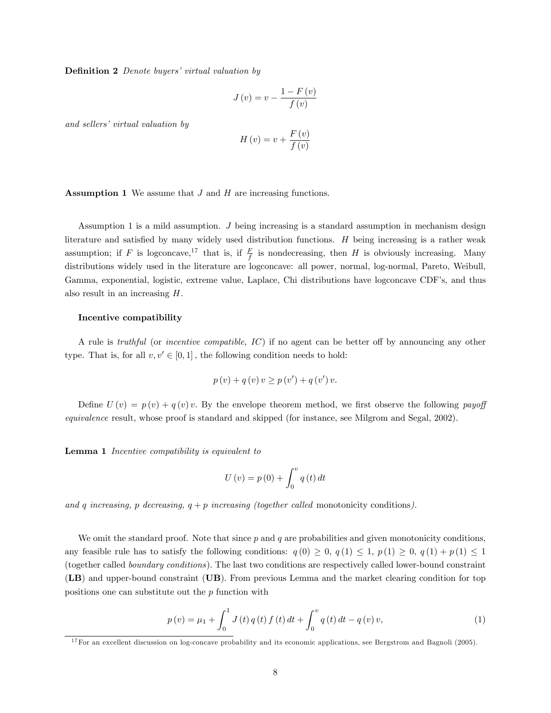**Definition 2** Denote buyers' virtual valuation by

$$
J(v) = v - \frac{1 - F(v)}{f(v)}
$$

and sellers' virtual valuation by

$$
H(v) = v + \frac{F(v)}{f(v)}
$$

**Assumption 1** We assume that  $J$  and  $H$  are increasing functions.

Assumption 1 is a mild assumption. J being increasing is a standard assumption in mechanism design literature and satisfied by many widely used distribution functions.  $H$  being increasing is a rather weak assumption; if F is logconcave,<sup>17</sup> that is, if  $\frac{F}{f}$  is nondecreasing, then H is obviously increasing. Many distributions widely used in the literature are logconcave: all power, normal, log-normal, Pareto, Weibull, Gamma, exponential, logistic, extreme value, Laplace, Chi distributions have logconcave CDF's, and thus also result in an increasing H.

#### Incentive compatibility

A rule is *truthful* (or *incentive compatible,*  $IC$ *)* if no agent can be better off by announcing any other type. That is, for all  $v, v' \in [0, 1]$ , the following condition needs to hold:

$$
p(v) + q(v) v \ge p(v') + q(v') v.
$$

Define  $U(v) = p(v) + q(v)v$ . By the envelope theorem method, we first observe the following payoff equivalence result, whose proof is standard and skipped (for instance, see Milgrom and Segal, 2002).

Lemma 1 Incentive compatibility is equivalent to

$$
U\left(v\right) = p\left(0\right) + \int_0^v q\left(t\right) dt
$$

and q increasing, p decreasing,  $q + p$  increasing (together called monotonicity conditions).

We omit the standard proof. Note that since  $p$  and  $q$  are probabilities and given monotonicity conditions, any feasible rule has to satisfy the following conditions:  $q(0) \geq 0$ ,  $q(1) \leq 1$ ,  $p(1) \geq 0$ ,  $q(1) + p(1) \leq 1$ (together called boundary conditions). The last two conditions are respectively called lower-bound constraint (LB) and upper-bound constraint (UB). From previous Lemma and the market clearing condition for top positions one can substitute out the  $p$  function with

$$
p(v) = \mu_1 + \int_0^1 J(t) q(t) f(t) dt + \int_0^v q(t) dt - q(v) v,
$$
\n(1)

<sup>&</sup>lt;sup>17</sup>For an excellent discussion on log-concave probability and its economic applications, see Bergstrom and Bagnoli (2005).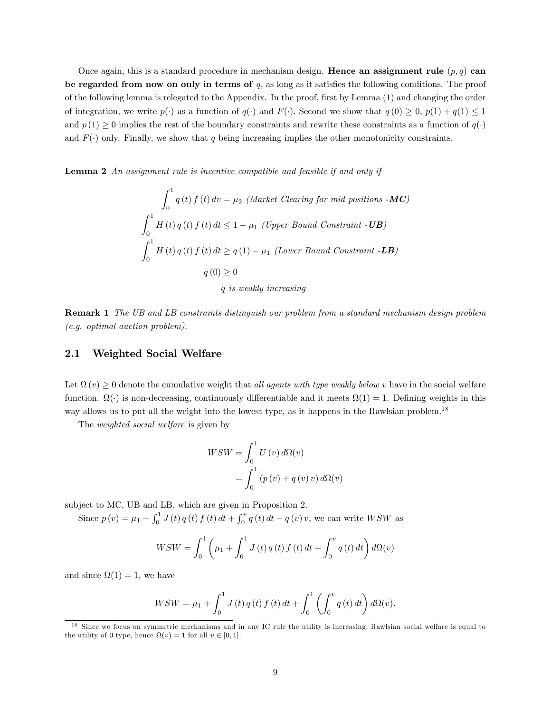Once again, this is a standard procedure in mechanism design. **Hence an assignment rule**  $(p, q)$  can be regarded from now on only in terms of  $q$ , as long as it satisfies the following conditions. The proof of the following lemma is relegated to the Appendix. In the proof, Örst by Lemma (1) and changing the order of integration, we write  $p(\cdot)$  as a function of  $q(\cdot)$  and  $F(\cdot)$ . Second we show that  $q(0) \geq 0$ ,  $p(1) + q(1) \leq 1$ and  $p(1) \geq 0$  implies the rest of the boundary constraints and rewrite these constraints as a function of  $q(\cdot)$ and  $F(\cdot)$  only. Finally, we show that q being increasing implies the other monotonicity constraints.

Lemma 2 An assignment rule is incentive compatible and feasible if and only if

$$
\int_0^1 q(t) f(t) dv = \mu_2 \text{ (Market Clearing for mid positions -MC)}
$$
  

$$
\int_0^1 H(t) q(t) f(t) dt \le 1 - \mu_1 \text{ (Upper Bound Constant -UB)}
$$
  

$$
\int_0^1 H(t) q(t) f(t) dt \ge q(1) - \mu_1 \text{ (Lower Bound Constant -LB)}
$$
  

$$
q(0) \ge 0
$$

q is weakly increasing

Remark 1 The UB and LB constraints distinguish our problem from a standard mechanism design problem (e.g. optimal auction problem).

#### 2.1 Weighted Social Welfare

Let  $\Omega(v) \geq 0$  denote the cumulative weight that *all agents with type weakly below v* have in the social welfare function.  $\Omega(\cdot)$  is non-decreasing, continuously differentiable and it meets  $\Omega(1) = 1$ . Defining weights in this way allows us to put all the weight into the lowest type, as it happens in the Rawlsian problem.<sup>18</sup>

The weighted social welfare is given by

$$
WSW = \int_0^1 U(v) d\Omega(v)
$$

$$
= \int_0^1 (p(v) + q(v)v) d\Omega(v)
$$

subject to MC, UB and LB, which are given in Proposition 2.

Since  $p(v) = \mu_1 + \int_0^1 J(t) q(t) f(t) dt + \int_0^v q(t) dt - q(v) v$ , we can write *WSW* as

$$
WSW = \int_0^1 \left( \mu_1 + \int_0^1 J(t) q(t) f(t) dt + \int_0^v q(t) dt \right) d\Omega(v)
$$

and since  $\Omega(1) = 1$ , we have

$$
WSW = \mu_1 + \int_0^1 J(t) q(t) f(t) dt + \int_0^1 \left( \int_0^v q(t) dt \right) d\Omega(v).
$$

<sup>18</sup> Since we focus on symmetric mechanisms and in any IC rule the utility is increasing, Rawlsian social welfare is equal to the utility of 0 type, hence  $\Omega(v) = 1$  for all  $v \in [0, 1]$ .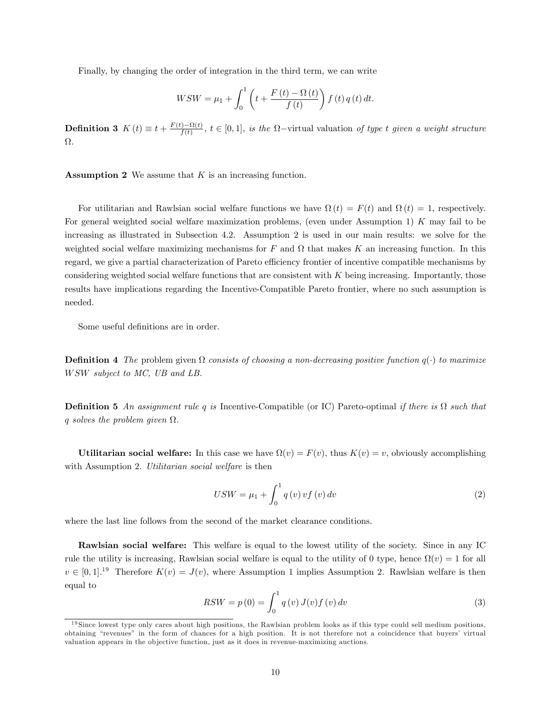Finally, by changing the order of integration in the third term, we can write

$$
WSW = \mu_1 + \int_0^1 \left( t + \frac{F(t) - \Omega(t)}{f(t)} \right) f(t) q(t) dt.
$$

**Definition 3**  $K(t) \equiv t + \frac{F(t) - \Omega(t)}{f(t)}$  $\frac{f(t)}{f(t)}$ ,  $t \in [0,1]$ , is the  $\Omega$ -virtual valuation of type t given a weight structure  $\Omega.$ 

**Assumption 2** We assume that  $K$  is an increasing function.

For utilitarian and Rawlsian social welfare functions we have  $\Omega(t) = F(t)$  and  $\Omega(t) = 1$ , respectively. For general weighted social welfare maximization problems, (even under Assumption 1) K may fail to be increasing as illustrated in Subsection 4.2. Assumption 2 is used in our main results: we solve for the weighted social welfare maximizing mechanisms for  $F$  and  $\Omega$  that makes  $K$  an increasing function. In this regard, we give a partial characterization of Pareto efficiency frontier of incentive compatible mechanisms by considering weighted social welfare functions that are consistent with K being increasing. Importantly, those results have implications regarding the Incentive-Compatible Pareto frontier, where no such assumption is needed.

Some useful definitions are in order.

**Definition 4** The problem given  $\Omega$  consists of choosing a non-decreasing positive function  $q(\cdot)$  to maximize W SW subject to MC, UB and LB.

**Definition 5** An assignment rule q is Incentive-Compatible (or IC) Pareto-optimal if there is  $\Omega$  such that q solves the problem given  $\Omega$ .

Utilitarian social welfare: In this case we have  $\Omega(v) = F(v)$ , thus  $K(v) = v$ , obviously accomplishing with Assumption 2. Utilitarian social welfare is then

$$
USW = \mu_1 + \int_0^1 q(v) v f(v) dv
$$
\n<sup>(2)</sup>

where the last line follows from the second of the market clearance conditions.

Rawlsian social welfare: This welfare is equal to the lowest utility of the society. Since in any IC rule the utility is increasing, Rawlsian social welfare is equal to the utility of 0 type, hence  $\Omega(v) = 1$  for all  $v \in [0, 1]$ .<sup>19</sup> Therefore  $K(v) = J(v)$ , where Assumption 1 implies Assumption 2. Rawlsian welfare is then equal to

$$
RSW = p(0) = \int_0^1 q(v) J(v) f(v) dv
$$
\n(3)

 $19\text{Since lowest type only cares about high positions, the Rawlsian problem looks as if this type could sell medium positions, which is a good performance of the same time.}$ obtaining "revenues" in the form of chances for a high position. It is not therefore not a coincidence that buyers' virtual valuation appears in the ob jective function, just as it does in revenue-maximizing auctions.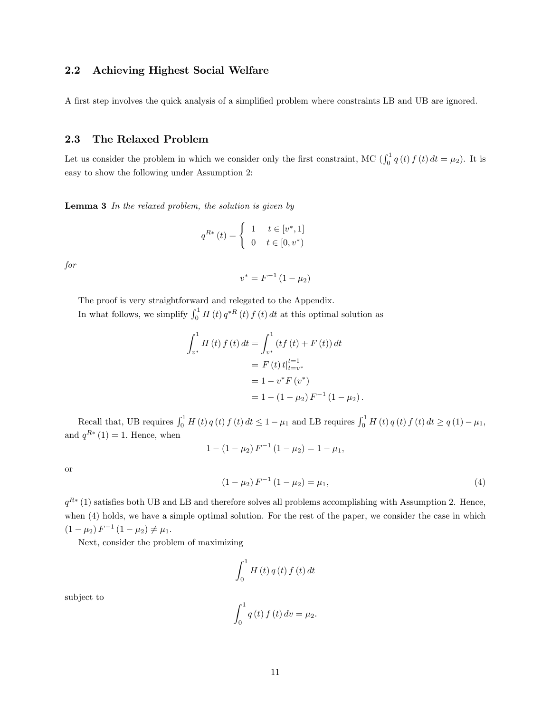#### 2.2 Achieving Highest Social Welfare

A first step involves the quick analysis of a simplified problem where constraints LB and UB are ignored.

#### 2.3 The Relaxed Problem

Let us consider the problem in which we consider only the first constraint, MC  $\left(\int_0^1 q(t) f(t) dt = \mu_2\right)$ . It is easy to show the following under Assumption 2:

**Lemma 3** In the relaxed problem, the solution is given by

$$
q^{R*}\left(t\right) = \begin{cases} 1 & t \in \left[v^*, 1\right] \\ 0 & t \in \left[0, v^*\right) \end{cases}
$$

for

$$
v^* = F^{-1} (1 - \mu_2)
$$

The proof is very straightforward and relegated to the Appendix. In what follows, we simplify  $\int_0^1 H(t) q^{*R}(t) f(t) dt$  at this optimal solution as

$$
\int_{v^*}^{1} H(t) f(t) dt = \int_{v^*}^{1} (tf(t) + F(t)) dt
$$
  
=  $F(t) t \Big|_{t=v^*}^{t=1}$   
=  $1 - v^* F(v^*)$   
=  $1 - (1 - \mu_2) F^{-1} (1 - \mu_2).$ 

Recall that, UB requires  $\int_0^1 H(t) q(t) f(t) dt \leq 1 - \mu_1$  and LB requires  $\int_0^1 H(t) q(t) f(t) dt \geq q(1) - \mu_1$ , and  $q^{R*}(1) = 1$ . Hence, when

$$
1 - (1 - \mu_2) F^{-1} (1 - \mu_2) = 1 - \mu_1,
$$

or

$$
(1 - \mu_2) F^{-1} (1 - \mu_2) = \mu_1,
$$
\n(4)

 $q^{R*}(1)$  satisfies both UB and LB and therefore solves all problems accomplishing with Assumption 2. Hence, when (4) holds, we have a simple optimal solution. For the rest of the paper, we consider the case in which  $(1 - \mu_2) F^{-1} (1 - \mu_2) \neq \mu_1.$ 

Next, consider the problem of maximizing

$$
\int_0^1 H\left(t\right)q\left(t\right)f\left(t\right)dt
$$

subject to

$$
\int_0^1 q(t) f(t) dv = \mu_2.
$$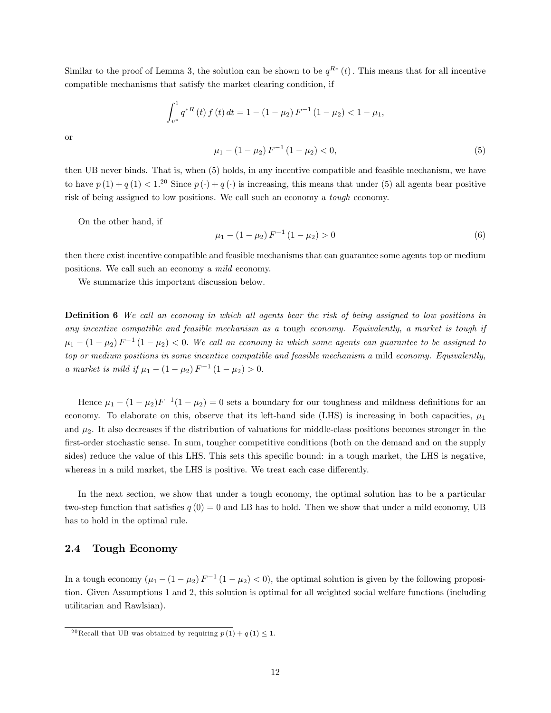Similar to the proof of Lemma 3, the solution can be shown to be  $q^{R*}(t)$ . This means that for all incentive compatible mechanisms that satisfy the market clearing condition, if

$$
\int_{v^*}^1 q^{*R}(t) f(t) dt = 1 - (1 - \mu_2) F^{-1} (1 - \mu_2) < 1 - \mu_1,
$$

or

then UB never binds. That is, when (5) holds, in any incentive compatible and feasible mechanism, we have to have  $p(1) + q(1) < 1.^{20}$  Since  $p(\cdot) + q(\cdot)$  is increasing, this means that under (5) all agents bear positive risk of being assigned to low positions. We call such an economy a tough economy.

On the other hand, if

$$
\mu_1 - (1 - \mu_2) F^{-1} (1 - \mu_2) > 0 \tag{6}
$$

 $\mu_1 - (1 - \mu_2) F^{-1} (1 - \mu_2) < 0,$  (5)

then there exist incentive compatible and feasible mechanisms that can guarantee some agents top or medium positions. We call such an economy a mild economy.

We summarize this important discussion below.

**Definition 6** We call an economy in which all agents bear the risk of being assigned to low positions in any incentive compatible and feasible mechanism as a tough economy. Equivalently, a market is tough if  $\mu_1 - (1 - \mu_2) F^{-1} (1 - \mu_2) < 0$ . We call an economy in which some agents can guarantee to be assigned to top or medium positions in some incentive compatible and feasible mechanism a mild economy. Equivalently, a market is mild if  $\mu_1 - (1 - \mu_2) F^{-1} (1 - \mu_2) > 0$ .

Hence  $\mu_1 - (1 - \mu_2)F^{-1}(1 - \mu_2) = 0$  sets a boundary for our toughness and mildness definitions for an economy. To elaborate on this, observe that its left-hand side (LHS) is increasing in both capacities,  $\mu_1$ and  $\mu_2$ . It also decreases if the distribution of valuations for middle-class positions becomes stronger in the first-order stochastic sense. In sum, tougher competitive conditions (both on the demand and on the supply sides) reduce the value of this LHS. This sets this specific bound: in a tough market, the LHS is negative, whereas in a mild market, the LHS is positive. We treat each case differently.

In the next section, we show that under a tough economy, the optimal solution has to be a particular two-step function that satisfies  $q(0) = 0$  and LB has to hold. Then we show that under a mild economy, UB has to hold in the optimal rule.

#### 2.4 Tough Economy

In a tough economy  $(\mu_1 - (1 - \mu_2) F^{-1} (1 - \mu_2) < 0)$ , the optimal solution is given by the following proposition. Given Assumptions 1 and 2, this solution is optimal for all weighted social welfare functions (including utilitarian and Rawlsian).

<sup>&</sup>lt;sup>20</sup> Recall that UB was obtained by requiring  $p(1) + q(1) \leq 1$ .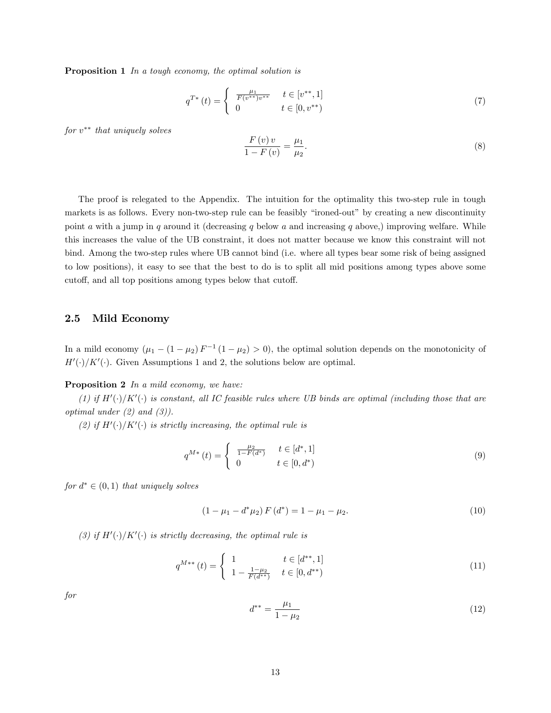Proposition 1 In a tough economy, the optimal solution is

$$
q^{T*}(t) = \begin{cases} \frac{\mu_1}{F(v^{**})v^{**}} & t \in [v^{**}, 1] \\ 0 & t \in [0, v^{**}) \end{cases}
$$
(7)

 $for v^{**}$  that uniquely solves

$$
\frac{F(v)v}{1 - F(v)} = \frac{\mu_1}{\mu_2}.\tag{8}
$$

The proof is relegated to the Appendix. The intuition for the optimality this two-step rule in tough markets is as follows. Every non-two-step rule can be feasibly "ironed-out" by creating a new discontinuity point a with a jump in q around it (decreasing q below a and increasing q above,) improving welfare. While this increases the value of the UB constraint, it does not matter because we know this constraint will not bind. Among the two-step rules where UB cannot bind (i.e. where all types bear some risk of being assigned to low positions), it easy to see that the best to do is to split all mid positions among types above some cutoff, and all top positions among types below that cutoff.

#### 2.5 Mild Economy

In a mild economy  $(\mu_1 - (1 - \mu_2) F^{-1} (1 - \mu_2) > 0)$ , the optimal solution depends on the monotonicity of  $H'(\cdot)/K'(\cdot)$ . Given Assumptions 1 and 2, the solutions below are optimal.

#### Proposition 2 In a mild economy, we have:

(1) if  $H'(\cdot)/K'(\cdot)$  is constant, all IC feasible rules where UB binds are optimal (including those that are optimal under  $(2)$  and  $(3)$ ).

(2) if  $H'(\cdot)/K'(\cdot)$  is strictly increasing, the optimal rule is

$$
q^{M*}(t) = \begin{cases} \frac{\mu_2}{1 - F(d^*)} & t \in [d^*, 1] \\ 0 & t \in [0, d^*) \end{cases} \tag{9}
$$

for  $d^* \in (0,1)$  that uniquely solves

$$
(1 - \mu_1 - d^* \mu_2) F(d^*) = 1 - \mu_1 - \mu_2.
$$
\n(10)

(3) if  $H'(\cdot)/K'(\cdot)$  is strictly decreasing, the optimal rule is

$$
q^{M**}\left(t\right) = \begin{cases} 1 & t \in [d^{**}, 1] \\ 1 - \frac{1 - \mu_2}{F(d^{**})} & t \in [0, d^{**}) \end{cases}
$$
(11)

for

$$
d^{**} = \frac{\mu_1}{1 - \mu_2} \tag{12}
$$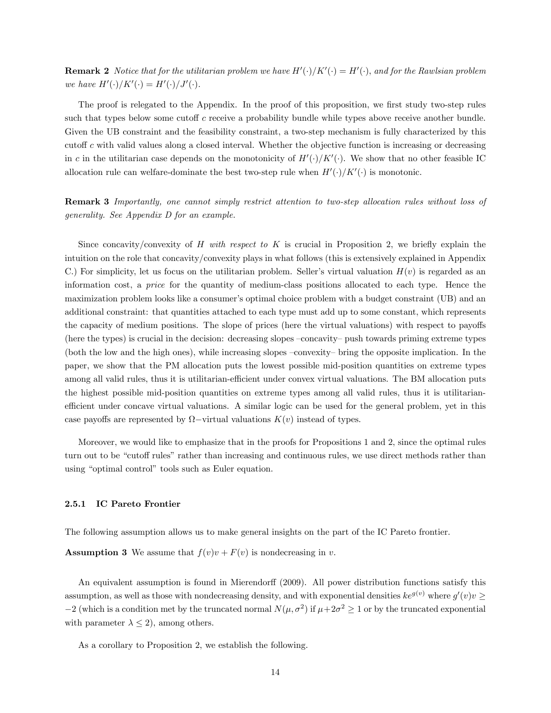**Remark 2** Notice that for the utilitarian problem we have  $H'(\cdot)/K'(\cdot) = H'(\cdot)$ , and for the Rawlsian problem we have  $H'(\cdot)/K'(\cdot) = H'(\cdot)/J'(\cdot)$ .

The proof is relegated to the Appendix. In the proof of this proposition, we first study two-step rules such that types below some cutoff  $c$  receive a probability bundle while types above receive another bundle. Given the UB constraint and the feasibility constraint, a two-step mechanism is fully characterized by this cutoff c with valid values along a closed interval. Whether the objective function is increasing or decreasing in c in the utilitarian case depends on the monotonicity of  $H'(\cdot)/K'(\cdot)$ . We show that no other feasible IC allocation rule can welfare-dominate the best two-step rule when  $H'(\cdot)/K'(\cdot)$  is monotonic.

Remark 3 Importantly, one cannot simply restrict attention to two-step allocation rules without loss of generality. See Appendix D for an example.

Since concavity/convexity of H with respect to K is crucial in Proposition 2, we briefly explain the intuition on the role that concavity/convexity plays in what follows (this is extensively explained in Appendix C.) For simplicity, let us focus on the utilitarian problem. Seller's virtual valuation  $H(v)$  is regarded as an information cost, a price for the quantity of medium-class positions allocated to each type. Hence the maximization problem looks like a consumer's optimal choice problem with a budget constraint (UB) and an additional constraint: that quantities attached to each type must add up to some constant, which represents the capacity of medium positions. The slope of prices (here the virtual valuations) with respect to payoffs (here the types) is crucial in the decision: decreasing slopes  $-$ concavity $-$  push towards priming extreme types (both the low and the high ones), while increasing slopes  $-convexity-$  bring the opposite implication. In the paper, we show that the PM allocation puts the lowest possible mid-position quantities on extreme types among all valid rules, thus it is utilitarian-efficient under convex virtual valuations. The BM allocation puts the highest possible mid-position quantities on extreme types among all valid rules, thus it is utilitarianefficient under concave virtual valuations. A similar logic can be used for the general problem, yet in this case payoffs are represented by  $\Omega$ -virtual valuations  $K(v)$  instead of types.

Moreover, we would like to emphasize that in the proofs for Propositions 1 and 2, since the optimal rules turn out to be "cutoff rules" rather than increasing and continuous rules, we use direct methods rather than using "optimal control" tools such as Euler equation.

#### 2.5.1 IC Pareto Frontier

The following assumption allows us to make general insights on the part of the IC Pareto frontier.

**Assumption 3** We assume that  $f(v)v + F(v)$  is nondecreasing in v.

An equivalent assumption is found in Mierendorff (2009). All power distribution functions satisfy this assumption, as well as those with nondecreasing density, and with exponential densities  $ke^{g(v)}$  where  $g'(v)v \ge$  $-2$  (which is a condition met by the truncated normal  $N(\mu, \sigma^2)$  if  $\mu+2\sigma^2 \ge 1$  or by the truncated exponential with parameter  $\lambda \leq 2$ , among others.

As a corollary to Proposition 2, we establish the following.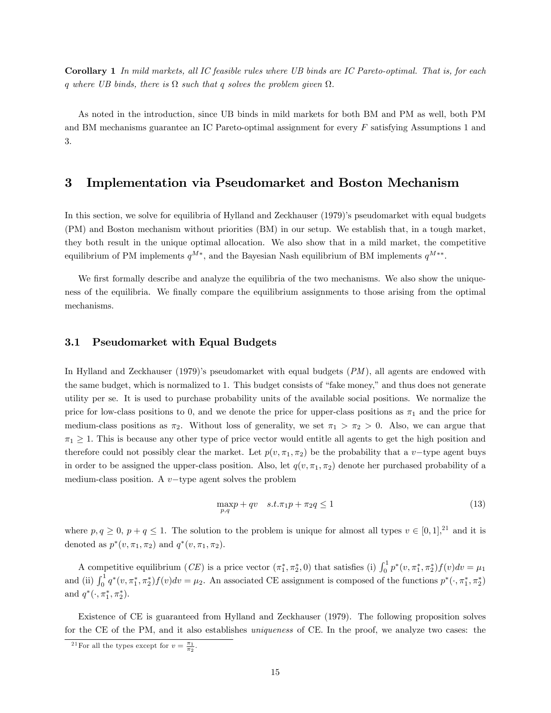Corollary 1 In mild markets, all IC feasible rules where UB binds are IC Pareto-optimal. That is, for each q where UB binds, there is  $\Omega$  such that q solves the problem given  $\Omega$ .

As noted in the introduction, since UB binds in mild markets for both BM and PM as well, both PM and BM mechanisms guarantee an IC Pareto-optimal assignment for every F satisfying Assumptions 1 and 3.

### 3 Implementation via Pseudomarket and Boston Mechanism

In this section, we solve for equilibria of Hylland and Zeckhauser (1979)'s pseudomarket with equal budgets (PM) and Boston mechanism without priorities (BM) in our setup. We establish that, in a tough market, they both result in the unique optimal allocation. We also show that in a mild market, the competitive equilibrium of PM implements  $q^{M*}$ , and the Bayesian Nash equilibrium of BM implements  $q^{M**}$ .

We first formally describe and analyze the equilibria of the two mechanisms. We also show the uniqueness of the equilibria. We finally compare the equilibrium assignments to those arising from the optimal mechanisms.

#### 3.1 Pseudomarket with Equal Budgets

In Hylland and Zeckhauser (1979)'s pseudomarket with equal budgets  $(PM)$ , all agents are endowed with the same budget, which is normalized to 1. This budget consists of "fake money," and thus does not generate utility per se. It is used to purchase probability units of the available social positions. We normalize the price for low-class positions to 0, and we denote the price for upper-class positions as  $\pi_1$  and the price for medium-class positions as  $\pi_2$ . Without loss of generality, we set  $\pi_1 > \pi_2 > 0$ . Also, we can argue that  $\pi_1 \geq 1$ . This is because any other type of price vector would entitle all agents to get the high position and therefore could not possibly clear the market. Let  $p(v, \pi_1, \pi_2)$  be the probability that a v-type agent buys in order to be assigned the upper-class position. Also, let  $q(v, \pi_1, \pi_2)$  denote her purchased probability of a medium-class position. A  $v$ -type agent solves the problem

$$
\max_{p,q} p + qv \quad s.t. \pi_1 p + \pi_2 q \le 1 \tag{13}
$$

where  $p, q \geq 0, p + q \leq 1$ . The solution to the problem is unique for almost all types  $v \in [0, 1],^{21}$  and it is denoted as  $p^*(v, \pi_1, \pi_2)$  and  $q^*(v, \pi_1, \pi_2)$ .

A competitive equilibrium (*CE*) is a price vector  $(\pi_1^*, \pi_2^*, 0)$  that satisfies (i)  $\int_0^1 p^*(v, \pi_1^*, \pi_2^*) f(v) dv = \mu_1$ and (ii)  $\int_0^1 q^*(v, \pi_1^*, \pi_2^*) f(v) dv = \mu_2$ . An associated CE assignment is composed of the functions  $p^*(\cdot, \pi_1^*, \pi_2^*)$ and  $q^*(\cdot, \pi_1^*, \pi_2^*)$ .

Existence of CE is guaranteed from Hylland and Zeckhauser (1979). The following proposition solves for the CE of the PM, and it also establishes uniqueness of CE. In the proof, we analyze two cases: the

<sup>&</sup>lt;sup>21</sup>For all the types except for  $v = \frac{\pi_1}{\pi_2}$ .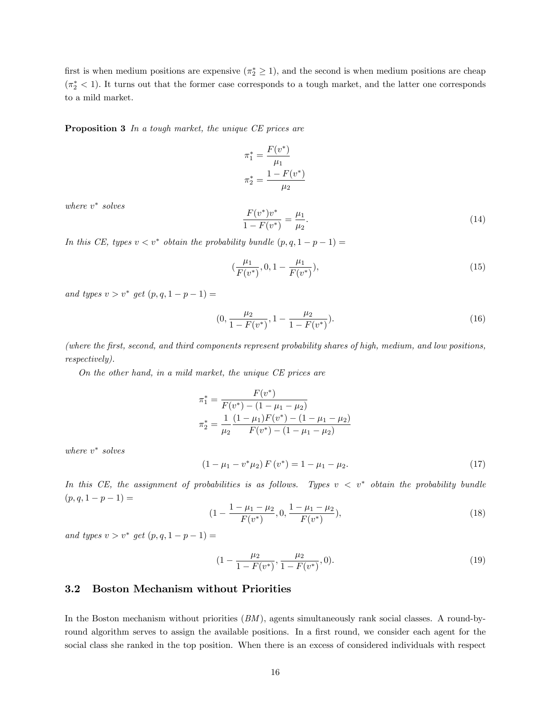first is when medium positions are expensive  $(\pi_2^* \geq 1)$ , and the second is when medium positions are cheap  $(\pi^*_2 < 1)$ . It turns out that the former case corresponds to a tough market, and the latter one corresponds to a mild market.

Proposition 3 In a tough market, the unique CE prices are

$$
\pi_1^* = \frac{F(v^*)}{\mu_1}
$$

$$
\pi_2^* = \frac{1 - F(v^*)}{\mu_2}
$$

where  $v^*$  solves

$$
\frac{F(v^*)v^*}{1 - F(v^*)} = \frac{\mu_1}{\mu_2}.\tag{14}
$$

In this CE, types  $v < v^*$  obtain the probability bundle  $(p, q, 1 - p - 1) =$ 

$$
(\frac{\mu_1}{F(v^*)}, 0, 1 - \frac{\mu_1}{F(v^*)}), \tag{15}
$$

and types  $v > v^*$  get  $(p, q, 1 - p - 1) =$ 

$$
(0, \frac{\mu_2}{1 - F(v^*)}, 1 - \frac{\mu_2}{1 - F(v^*)}).
$$
\n(16)

(where the Örst, second, and third components represent probability shares of high, medium, and low positions, respectively).

On the other hand, in a mild market, the unique CE prices are

$$
\pi_1^* = \frac{F(v^*)}{F(v^*) - (1 - \mu_1 - \mu_2)}
$$

$$
\pi_2^* = \frac{1}{\mu_2} \frac{(1 - \mu_1)F(v^*) - (1 - \mu_1 - \mu_2)}{F(v^*) - (1 - \mu_1 - \mu_2)}
$$

where  $v^*$  solves

$$
(1 - \mu_1 - v^* \mu_2) F(v^*) = 1 - \mu_1 - \mu_2.
$$
 (17)

In this CE, the assignment of probabilities is as follows. Types  $v < v^*$  obtain the probability bundle  $(p, q, 1 - p - 1) =$ 

$$
(1 - \frac{1 - \mu_1 - \mu_2}{F(v^*)}, 0, \frac{1 - \mu_1 - \mu_2}{F(v^*)}),
$$
\n(18)

and types  $v > v^*$  get  $(p, q, 1 - p - 1) =$ 

$$
(1 - \frac{\mu_2}{1 - F(v^*)}, \frac{\mu_2}{1 - F(v^*)}, 0). \tag{19}
$$

#### 3.2 Boston Mechanism without Priorities

In the Boston mechanism without priorities  $(BM)$ , agents simultaneously rank social classes. A round-byround algorithm serves to assign the available positions. In a first round, we consider each agent for the social class she ranked in the top position. When there is an excess of considered individuals with respect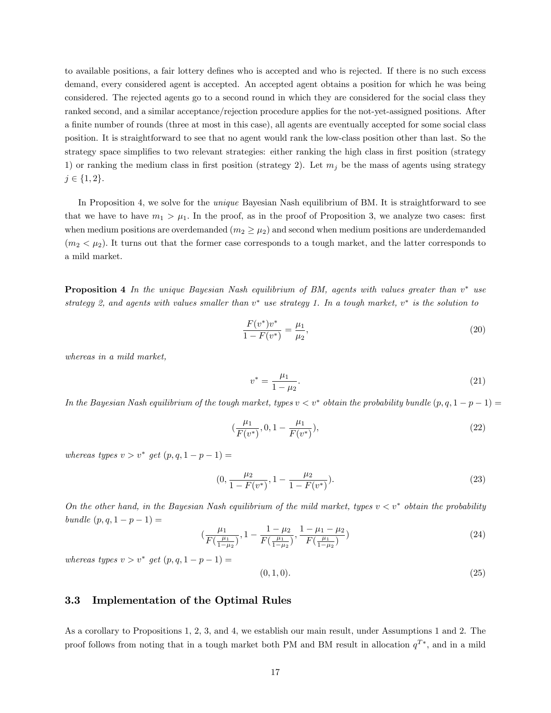to available positions, a fair lottery defines who is accepted and who is rejected. If there is no such excess demand, every considered agent is accepted. An accepted agent obtains a position for which he was being considered. The rejected agents go to a second round in which they are considered for the social class they ranked second, and a similar acceptance/rejection procedure applies for the not-yet-assigned positions. After a finite number of rounds (three at most in this case), all agents are eventually accepted for some social class position. It is straightforward to see that no agent would rank the low-class position other than last. So the strategy space simplifies to two relevant strategies: either ranking the high class in first position (strategy 1) or ranking the medium class in first position (strategy 2). Let  $m_i$  be the mass of agents using strategy  $j \in \{1, 2\}.$ 

In Proposition 4, we solve for the unique Bayesian Nash equilibrium of BM. It is straightforward to see that we have to have  $m_1 > \mu_1$ . In the proof, as in the proof of Proposition 3, we analyze two cases: first when medium positions are overdemanded  $(m_2 \geq \mu_2)$  and second when medium positions are underdemanded  $(m_2 < \mu_2)$ . It turns out that the former case corresponds to a tough market, and the latter corresponds to a mild market.

**Proposition 4** In the unique Bayesian Nash equilibrium of BM, agents with values greater than  $v^*$  use strategy 2, and agents with values smaller than  $v^*$  use strategy 1. In a tough market,  $v^*$  is the solution to

$$
\frac{F(v^*)v^*}{1 - F(v^*)} = \frac{\mu_1}{\mu_2},\tag{20}
$$

whereas in a mild market,

$$
v^* = \frac{\mu_1}{1 - \mu_2}.\tag{21}
$$

In the Bayesian Nash equilibrium of the tough market, types  $v < v^*$  obtain the probability bundle  $(p, q, 1 - p - 1) =$ 

$$
(\frac{\mu_1}{F(v^*)}, 0, 1 - \frac{\mu_1}{F(v^*)}), \tag{22}
$$

whereas types  $v > v^*$  get  $(p, q, 1 - p - 1) =$ 

$$
(0, \frac{\mu_2}{1 - F(v^*)}, 1 - \frac{\mu_2}{1 - F(v^*)}).
$$
\n(23)

On the other hand, in the Bayesian Nash equilibrium of the mild market, types  $v < v^*$  obtain the probability bundle  $(p, q, 1 - p - 1) =$ 

$$
\left(\frac{\mu_1}{F\left(\frac{\mu_1}{1-\mu_2}\right)}, 1 - \frac{1-\mu_2}{F\left(\frac{\mu_1}{1-\mu_2}\right)}, \frac{1-\mu_1-\mu_2}{F\left(\frac{\mu_1}{1-\mu_2}\right)}\right) \tag{24}
$$

whereas types  $v > v^*$  get  $(p, q, 1 - p - 1) =$ 

$$
(0,1,0). \t(25)
$$

#### 3.3 Implementation of the Optimal Rules

As a corollary to Propositions 1, 2, 3, and 4, we establish our main result, under Assumptions 1 and 2. The proof follows from noting that in a tough market both PM and BM result in allocation  $q^{T*}$ , and in a mild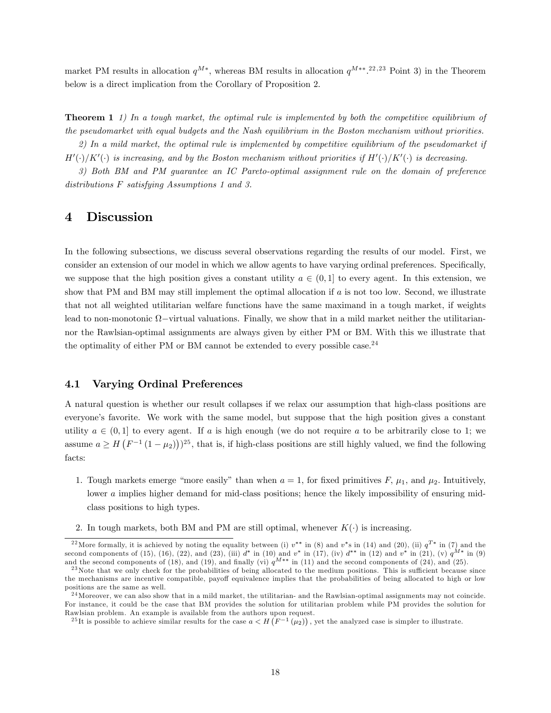market PM results in allocation  $q^{M*}$ , whereas BM results in allocation  $q^{M**}$ .<sup>22,23</sup> Point 3) in the Theorem</sup> below is a direct implication from the Corollary of Proposition 2.

**Theorem 1** 1) In a tough market, the optimal rule is implemented by both the competitive equilibrium of the pseudomarket with equal budgets and the Nash equilibrium in the Boston mechanism without priorities.

2) In a mild market, the optimal rule is implemented by competitive equilibrium of the pseudomarket if  $H'(\cdot)/K'(\cdot)$  is increasing, and by the Boston mechanism without priorities if  $H'(\cdot)/K'(\cdot)$  is decreasing.

3) Both BM and PM guarantee an IC Pareto-optimal assignment rule on the domain of preference distributions F satisfying Assumptions 1 and 3.

### 4 Discussion

In the following subsections, we discuss several observations regarding the results of our model. First, we consider an extension of our model in which we allow agents to have varying ordinal preferences. Specifically, we suppose that the high position gives a constant utility  $a \in (0, 1]$  to every agent. In this extension, we show that PM and BM may still implement the optimal allocation if  $a$  is not too low. Second, we illustrate that not all weighted utilitarian welfare functions have the same maximand in a tough market, if weights lead to non-monotonic  $\Omega$ -virtual valuations. Finally, we show that in a mild market neither the utilitariannor the Rawlsian-optimal assignments are always given by either PM or BM. With this we illustrate that the optimality of either PM or BM cannot be extended to every possible case.<sup>24</sup>

#### 4.1 Varying Ordinal Preferences

A natural question is whether our result collapses if we relax our assumption that high-class positions are everyone's favorite. We work with the same model, but suppose that the high position gives a constant utility  $a \in (0,1]$  to every agent. If a is high enough (we do not require a to be arbitrarily close to 1; we assume  $a \geq H\left(F^{-1}(1-\mu_2)\right)^{25}$ , that is, if high-class positions are still highly valued, we find the following facts:

- 1. Tough markets emerge "more easily" than when  $a = 1$ , for fixed primitives F,  $\mu_1$ , and  $\mu_2$ . Intuitively, lower a implies higher demand for mid-class positions; hence the likely impossibility of ensuring midclass positions to high types.
- 2. In tough markets, both BM and PM are still optimal, whenever  $K(\cdot)$  is increasing.

<sup>&</sup>lt;sup>22</sup> More formally, it is achieved by noting the equality between (i)  $v^{**}$  in (8) and  $v^*$ s in (14) and (20), (ii)  $q^{T*}$  in (7) and the second components of (15), (16), (22), and (23), (iii)  $d^*$  in (10) and  $v^*$  in (17), (iv)  $d^{**}$  in (12) and  $v^*$  in (21), (v)  $q^{M*}$  in (9) and the second components of (18), and (19), and finally (vi)  $q^{M**}$  in (11) and the second components of (24), and (25).

 $^{23}$ Note that we only check for the probabilities of being allocated to the medium positions. This is sufficient because since the mechanisms are incentive compatible, payoff equivalence implies that the probabilities of being allocated to high or low positions are the same as well.

 $24$ Moreover, we can also show that in a mild market, the utilitarian- and the Rawlsian-optimal assignments may not coincide. For instance, it could be the case that BM provides the solution for utilitarian problem while PM provides the solution for Rawlsian problem. An example is available from the authors upon request.

<sup>&</sup>lt;sup>25</sup>It is possible to achieve similar results for the case  $a < H(F^{-1}(\mu_2))$ , yet the analyzed case is simpler to illustrate.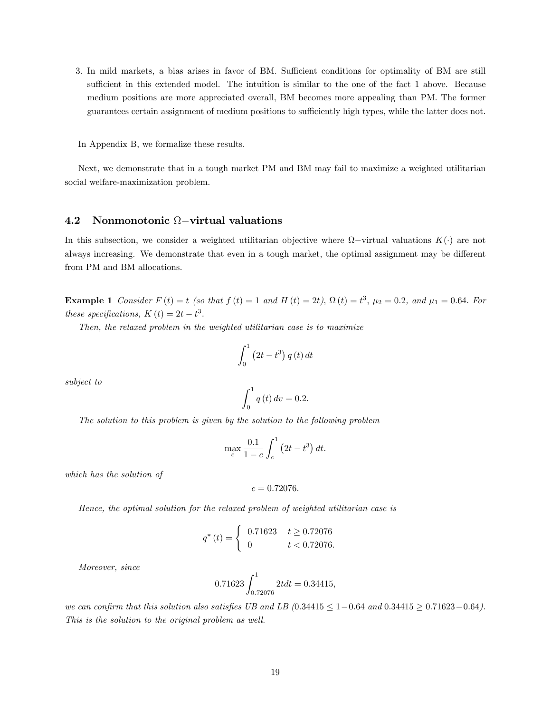- 3. In mild markets, a bias arises in favor of BM. Sufficient conditions for optimality of BM are still sufficient in this extended model. The intuition is similar to the one of the fact 1 above. Because medium positions are more appreciated overall, BM becomes more appealing than PM. The former guarantees certain assignment of medium positions to sufficiently high types, while the latter does not.
- In Appendix B, we formalize these results.

Next, we demonstrate that in a tough market PM and BM may fail to maximize a weighted utilitarian social welfare-maximization problem.

## 4.2 Nonmonotonic  $\Omega$ -virtual valuations

In this subsection, we consider a weighted utilitarian objective where  $\Omega$ -virtual valuations  $K(\cdot)$  are not always increasing. We demonstrate that even in a tough market, the optimal assignment may be different from PM and BM allocations.

**Example 1** Consider  $F(t) = t$  (so that  $f(t) = 1$  and  $H(t) = 2t$ ),  $\Omega(t) = t^3$ ,  $\mu_2 = 0.2$ , and  $\mu_1 = 0.64$ . For these specifications,  $K(t) = 2t - t^3$ .

Then, the relaxed problem in the weighted utilitarian case is to maximize

$$
\int_0^1 (2t - t^3) q(t) dt
$$

subject to

$$
\int_0^1 q(t) \, dv = 0.2.
$$

The solution to this problem is given by the solution to the following problem

$$
\max_{c} \frac{0.1}{1 - c} \int_{c}^{1} (2t - t^3) dt.
$$

which has the solution of

$$
c=0.72076.
$$

Hence, the optimal solution for the relaxed problem of weighted utilitarian case is

$$
q^*(t) = \begin{cases} 0.71623 & t \ge 0.72076 \\ 0 & t < 0.72076. \end{cases}
$$

Moreover, since

$$
0.71623 \int_{0.72076}^{1} 2t dt = 0.34415,
$$

we can confirm that this solution also satisfies UB and LB (0.34415  $\leq 1-0.64$  and 0.34415  $\geq 0.71623-0.64$ ). This is the solution to the original problem as well.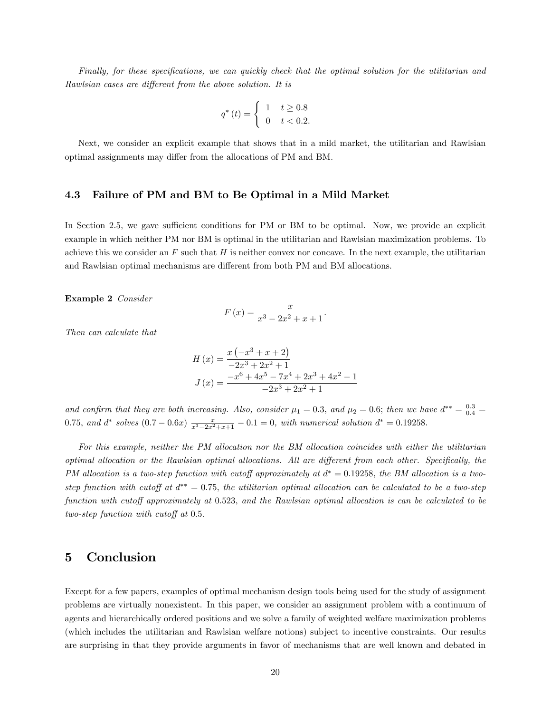Finally, for these specifications, we can quickly check that the optimal solution for the utilitarian and Rawlsian cases are different from the above solution. It is

$$
q^*(t) = \begin{cases} 1 & t \ge 0.8 \\ 0 & t < 0.2. \end{cases}
$$

Next, we consider an explicit example that shows that in a mild market, the utilitarian and Rawlsian optimal assignments may differ from the allocations of PM and BM.

#### 4.3 Failure of PM and BM to Be Optimal in a Mild Market

In Section 2.5, we gave sufficient conditions for PM or BM to be optimal. Now, we provide an explicit example in which neither PM nor BM is optimal in the utilitarian and Rawlsian maximization problems. To achieve this we consider an  $F$  such that  $H$  is neither convex nor concave. In the next example, the utilitarian and Rawlsian optimal mechanisms are different from both PM and BM allocations.

Example 2 Consider

$$
F(x) = \frac{x}{x^3 - 2x^2 + x + 1}.
$$

Then can calculate that

$$
H(x) = \frac{x(-x^3 + x + 2)}{-2x^3 + 2x^2 + 1}
$$
  

$$
J(x) = \frac{-x^6 + 4x^5 - 7x^4 + 2x^3 + 4x^2 - 1}{-2x^3 + 2x^2 + 1}
$$

and confirm that they are both increasing. Also, consider  $\mu_1 = 0.3$ , and  $\mu_2 = 0.6$ ; then we have  $d^{**} = \frac{0.3}{0.4}$ 0.75, and  $d^*$  solves  $(0.7 - 0.6x) \frac{x}{x^3 - 2x^2 + x + 1} - 0.1 = 0$ , with numerical solution  $d^* = 0.19258$ .

For this example, neither the PM allocation nor the BM allocation coincides with either the utilitarian optimal allocation or the Rawlsian optimal allocations. All are different from each other. Specifically, the PM allocation is a two-step function with cutoff approximately at  $d^* = 0.19258$ , the BM allocation is a twostep function with cutoff at  $d^{**} = 0.75$ , the utilitarian optimal allocation can be calculated to be a two-step function with cutoff approximately at 0.523, and the Rawlsian optimal allocation is can be calculated to be two-step function with cutoff at  $0.5$ .

### 5 Conclusion

Except for a few papers, examples of optimal mechanism design tools being used for the study of assignment problems are virtually nonexistent. In this paper, we consider an assignment problem with a continuum of agents and hierarchically ordered positions and we solve a family of weighted welfare maximization problems (which includes the utilitarian and Rawlsian welfare notions) subject to incentive constraints. Our results are surprising in that they provide arguments in favor of mechanisms that are well known and debated in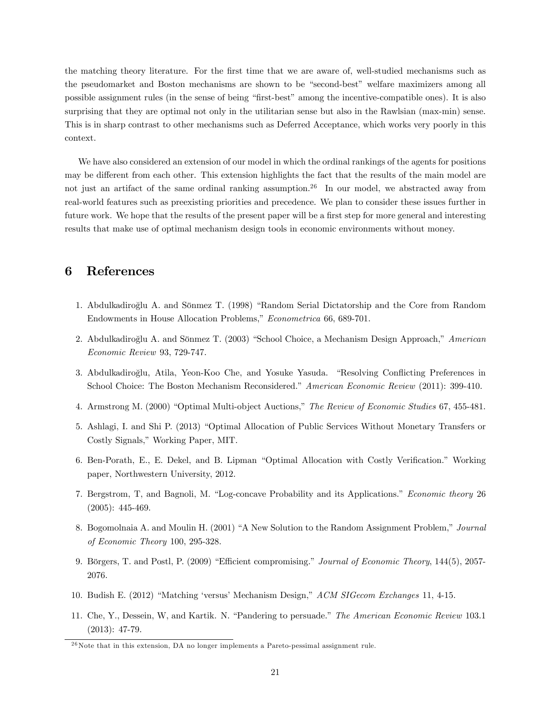the matching theory literature. For the Örst time that we are aware of, well-studied mechanisms such as the pseudomarket and Boston mechanisms are shown to be "second-best" welfare maximizers among all possible assignment rules (in the sense of being "first-best" among the incentive-compatible ones). It is also surprising that they are optimal not only in the utilitarian sense but also in the Rawlsian (max-min) sense. This is in sharp contrast to other mechanisms such as Deferred Acceptance, which works very poorly in this context.

We have also considered an extension of our model in which the ordinal rankings of the agents for positions may be different from each other. This extension highlights the fact that the results of the main model are not just an artifact of the same ordinal ranking assumption.<sup>26</sup> In our model, we abstracted away from real-world features such as preexisting priorities and precedence. We plan to consider these issues further in future work. We hope that the results of the present paper will be a first step for more general and interesting results that make use of optimal mechanism design tools in economic environments without money.

### 6 References

- 1. Abdulkadiroğlu A. and Sönmez T. (1998) "Random Serial Dictatorship and the Core from Random Endowments in House Allocation Problems," Econometrica 66, 689-701.
- 2. Abdulkadiroğlu A. and Sönmez T. (2003) "School Choice, a Mechanism Design Approach," American Economic Review 93, 729-747.
- 3. Abdulkadiroğlu, Atila, Yeon-Koo Che, and Yosuke Yasuda. "Resolving Conflicting Preferences in School Choice: The Boston Mechanism Reconsidered." American Economic Review (2011): 399-410.
- 4. Armstrong M. (2000) "Optimal Multi-object Auctions," The Review of Economic Studies 67, 455-481.
- 5. Ashlagi, I. and Shi P. (2013) "Optimal Allocation of Public Services Without Monetary Transfers or Costly Signals," Working Paper, MIT.
- 6. Ben-Porath, E., E. Dekel, and B. Lipman "Optimal Allocation with Costly Verification." Working paper, Northwestern University, 2012.
- 7. Bergstrom, T, and Bagnoli, M. "Log-concave Probability and its Applications." Economic theory 26 (2005): 445-469.
- 8. Bogomolnaia A. and Moulin H. (2001) "A New Solution to the Random Assignment Problem," Journal of Economic Theory 100, 295-328.
- 9. Börgers, T. and Postl, P. (2009) "Efficient compromising." Journal of Economic Theory, 144(5), 2057-2076.
- 10. Budish E. (2012) "Matching 'versus' Mechanism Design," ACM SIGecom Exchanges 11, 4-15.
- 11. Che, Y., Dessein, W. and Kartik. N. "Pandering to persuade." The American Economic Review 103.1 (2013): 47-79.

 $^{26}$ Note that in this extension, DA no longer implements a Pareto-pessimal assignment rule.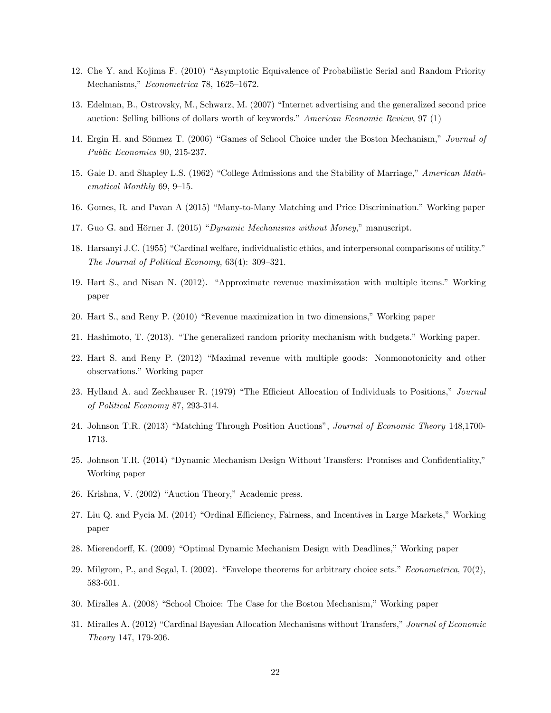- 12. Che Y. and Kojima F. (2010) "Asymptotic Equivalence of Probabilistic Serial and Random Priority Mechanisms," Econometrica 78, 1625–1672.
- 13. Edelman, B., Ostrovsky, M., Schwarz, M. (2007) "Internet advertising and the generalized second price auction: Selling billions of dollars worth of keywords." American Economic Review,  $97 (1)$
- 14. Ergin H. and Sönmez T. (2006) "Games of School Choice under the Boston Mechanism," Journal of Public Economics 90, 215-237.
- 15. Gale D. and Shapley L.S. (1962) "College Admissions and the Stability of Marriage," American Mathematical Monthly  $69, 9-15.$
- 16. Gomes, R. and Pavan A (2015) "Many-to-Many Matching and Price Discrimination." Working paper
- 17. Guo G. and Hörner J. (2015) *"Dynamic Mechanisms without Money*," manuscript.
- 18. Harsanyi J.C. (1955) "Cardinal welfare, individualistic ethics, and interpersonal comparisons of utility." The Journal of Political Economy,  $63(4)$ :  $309-321$ .
- 19. Hart S., and Nisan N. (2012). "Approximate revenue maximization with multiple items." Working paper
- 20. Hart S., and Reny P. (2010) "Revenue maximization in two dimensions," Working paper
- 21. Hashimoto, T. (2013). "The generalized random priority mechanism with budgets." Working paper.
- 22. Hart S. and Reny P. (2012) "Maximal revenue with multiple goods: Nonmonotonicity and other observations." Working paper
- 23. Hylland A. and Zeckhauser R. (1979) "The Efficient Allocation of Individuals to Positions," Journal of Political Economy 87, 293-314.
- 24. Johnson T.R. (2013) "Matching Through Position Auctions", *Journal of Economic Theory* 148,1700-1713.
- 25. Johnson T.R. (2014) "Dynamic Mechanism Design Without Transfers: Promises and Confidentiality," Working paper
- 26. Krishna, V. (2002) "Auction Theory," Academic press.
- 27. Liu Q. and Pycia M. (2014) "Ordinal Efficiency, Fairness, and Incentives in Large Markets," Working paper
- 28. Mierendorff, K. (2009) "Optimal Dynamic Mechanism Design with Deadlines," Working paper
- 29. Milgrom, P., and Segal, I. (2002). "Envelope theorems for arbitrary choice sets." *Econometrica*,  $70(2)$ , 583-601.
- 30. Miralles A. (2008) "School Choice: The Case for the Boston Mechanism," Working paper
- 31. Miralles A. (2012) "Cardinal Bayesian Allocation Mechanisms without Transfers," Journal of Economic Theory 147, 179-206.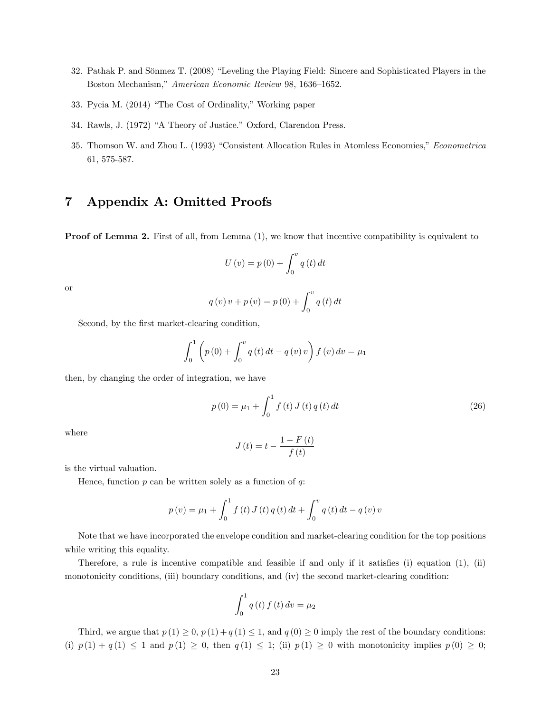- 32. Pathak P. and Sönmez T. (2008) "Leveling the Playing Field: Sincere and Sophisticated Players in the Boston Mechanism," American Economic Review 98, 1636-1652.
- 33. Pycia M. (2014) "The Cost of Ordinality," Working paper
- 34. Rawls, J. (1972) "A Theory of Justice." Oxford, Clarendon Press.
- 35. Thomson W. and Zhou L. (1993) "Consistent Allocation Rules in Atomless Economies," Econometrica 61, 575-587.

### 7 Appendix A: Omitted Proofs

**Proof of Lemma 2.** First of all, from Lemma  $(1)$ , we know that incentive compatibility is equivalent to

$$
U(v) = p(0) + \int_0^v q(t) dt
$$

or

$$
q(v)v + p(v) = p(0) + \int_0^v q(t) dt
$$

Second, by the first market-clearing condition,

$$
\int_0^1 \left( p(0) + \int_0^v q(t) dt - q(v) v \right) f(v) dv = \mu_1
$$

then, by changing the order of integration, we have

$$
p(0) = \mu_1 + \int_0^1 f(t) J(t) q(t) dt
$$
\n(26)

where

$$
J\left(t\right) = t - \frac{1 - F\left(t\right)}{f\left(t\right)}
$$

is the virtual valuation.

Hence, function  $p$  can be written solely as a function of  $q$ :

$$
p(v) = \mu_1 + \int_0^1 f(t) J(t) q(t) dt + \int_0^v q(t) dt - q(v) v
$$

Note that we have incorporated the envelope condition and market-clearing condition for the top positions while writing this equality.

Therefore, a rule is incentive compatible and feasible if and only if it satisfies (i) equation  $(1)$ , (ii) monotonicity conditions, (iii) boundary conditions, and (iv) the second market-clearing condition:

$$
\int_0^1 q(t) f(t) dv = \mu_2
$$

Third, we argue that  $p(1) \geq 0$ ,  $p(1) + q(1) \leq 1$ , and  $q(0) \geq 0$  imply the rest of the boundary conditions: (i)  $p(1) + q(1) \le 1$  and  $p(1) \ge 0$ , then  $q(1) \le 1$ ; (ii)  $p(1) \ge 0$  with monotonicity implies  $p(0) \ge 0$ ;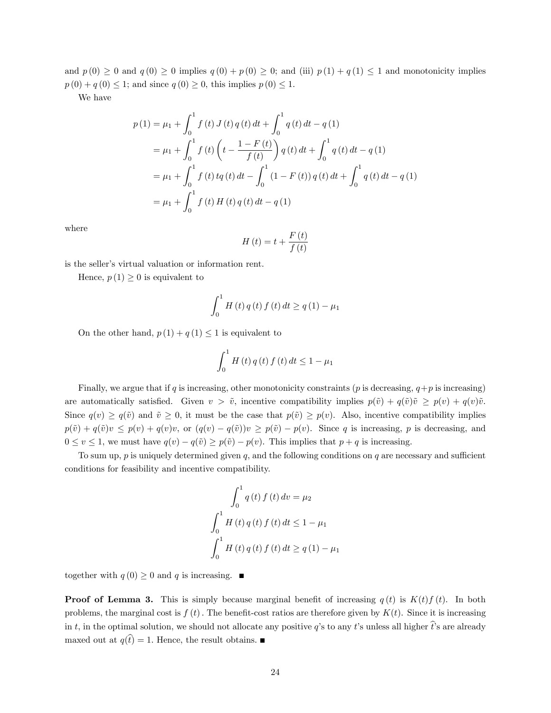and  $p(0) \ge 0$  and  $q(0) \ge 0$  implies  $q(0) + p(0) \ge 0$ ; and (iii)  $p(1) + q(1) \le 1$  and monotonicity implies  $p(0) + q(0) \leq 1$ ; and since  $q(0) \geq 0$ , this implies  $p(0) \leq 1$ .

We have

$$
p(1) = \mu_1 + \int_0^1 f(t) J(t) q(t) dt + \int_0^1 q(t) dt - q(1)
$$
  
=  $\mu_1 + \int_0^1 f(t) \left( t - \frac{1 - F(t)}{f(t)} \right) q(t) dt + \int_0^1 q(t) dt - q(1)$   
=  $\mu_1 + \int_0^1 f(t) t q(t) dt - \int_0^1 (1 - F(t)) q(t) dt + \int_0^1 q(t) dt - q(1)$   
=  $\mu_1 + \int_0^1 f(t) H(t) q(t) dt - q(1)$ 

where

$$
H\left(t\right) = t + \frac{F\left(t\right)}{f\left(t\right)}
$$

is the seller's virtual valuation or information rent.

Hence,  $p(1) \geq 0$  is equivalent to

$$
\int_{0}^{1} H(t) q(t) f(t) dt \ge q(1) - \mu_1
$$

On the other hand,  $p(1) + q(1) \leq 1$  is equivalent to

$$
\int_{0}^{1} H(t) q(t) f(t) dt \le 1 - \mu_1
$$

Finally, we argue that if q is increasing, other monotonicity constraints ( $p$  is decreasing,  $q+p$  is increasing) are automatically satisfied. Given  $v > \tilde{v}$ , incentive compatibility implies  $p(\tilde{v}) + q(\tilde{v})\tilde{v} \geq p(v) + q(v)\tilde{v}$ . Since  $q(v) \ge q(\tilde{v})$  and  $\tilde{v} \ge 0$ , it must be the case that  $p(\tilde{v}) \ge p(v)$ . Also, incentive compatibility implies  $p(\tilde{v}) + q(\tilde{v})v \leq p(v) + q(v)v$ , or  $(q(v) - q(\tilde{v}))v \geq p(\tilde{v}) - p(v)$ . Since q is increasing, p is decreasing, and  $0 \le v \le 1$ , we must have  $q(v) - q(\tilde{v}) \ge p(\tilde{v}) - p(v)$ . This implies that  $p + q$  is increasing.

To sum up,  $p$  is uniquely determined given  $q$ , and the following conditions on  $q$  are necessary and sufficient conditions for feasibility and incentive compatibility.

$$
\int_0^1 q(t) f(t) dt = \mu_2
$$
  

$$
\int_0^1 H(t) q(t) f(t) dt \le 1 - \mu_1
$$
  

$$
\int_0^1 H(t) q(t) f(t) dt \ge q(1) - \mu_1
$$

together with  $q(0) \geq 0$  and q is increasing.

**Proof of Lemma 3.** This is simply because marginal benefit of increasing  $q(t)$  is  $K(t)f(t)$ . In both problems, the marginal cost is  $f(t)$ . The benefit-cost ratios are therefore given by  $K(t)$ . Since it is increasing in t, in the optimal solution, we should not allocate any positive q's to any t's unless all higher  $\hat{t}$ 's are already maxed out at  $q(\hat{t}) = 1$ . Hence, the result obtains.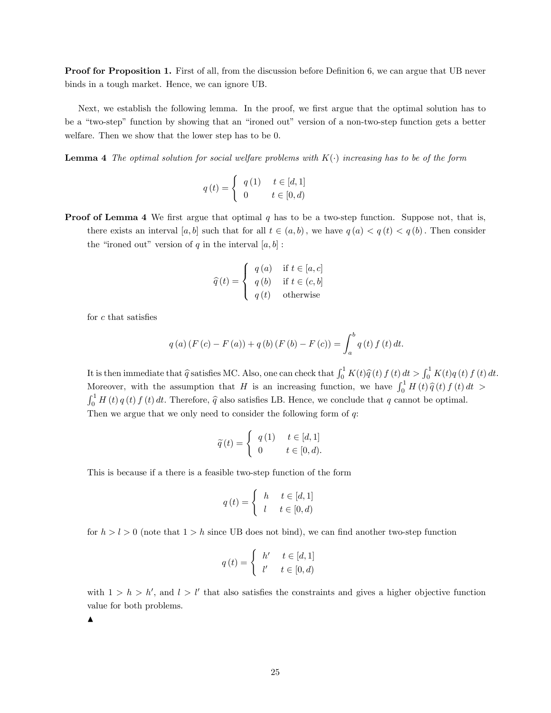**Proof for Proposition 1.** First of all, from the discussion before Definition 6, we can argue that UB never binds in a tough market. Hence, we can ignore UB.

Next, we establish the following lemma. In the proof, we first argue that the optimal solution has to be a "two-step" function by showing that an "ironed out" version of a non-two-step function gets a better welfare. Then we show that the lower step has to be 0.

**Lemma 4** The optimal solution for social welfare problems with  $K(\cdot)$  increasing has to be of the form

$$
q\left(t\right) = \left\{ \begin{array}{ll} q\left(1\right) & t \in [d,1] \\ 0 & t \in [0,d) \end{array} \right.
$$

**Proof of Lemma 4** We first argue that optimal  $q$  has to be a two-step function. Suppose not, that is, there exists an interval [a, b] such that for all  $t \in (a, b)$ , we have  $q(a) < q(t) < q(b)$ . Then consider the "ironed out" version of q in the interval  $[a, b]$ :

$$
\widehat{q}(t) = \begin{cases}\n q(a) & \text{if } t \in [a, c] \\
q(b) & \text{if } t \in (c, b] \\
q(t) & \text{otherwise}\n\end{cases}
$$

for  $c$  that satisfies

$$
q(a) (F (c) – F (a)) + q (b) (F (b) – F (c)) = \int_{a}^{b} q(t) f(t) dt.
$$

It is then immediate that  $\hat{q}$  satisfies MC. Also, one can check that  $\int_0^1 K(t)\hat{q}(t) f(t) dt > \int_0^1 K(t)q(t) f(t) dt$ . Moreover, with the assumption that H is an increasing function, we have  $\int_0^1 H(t) \hat{q}(t) f(t) dt >$  $\int_0^1 H(t) q(t) f(t) dt$ . Therefore,  $\hat{q}$  also satisfies LB. Hence, we conclude that q cannot be optimal. Then we argue that we only need to consider the following form of q:

$$
\widetilde{q}(t) = \begin{cases} q(1) & t \in [d, 1] \\ 0 & t \in [0, d). \end{cases}
$$

This is because if a there is a feasible two-step function of the form

$$
q(t) = \begin{cases} h & t \in [d, 1] \\ l & t \in [0, d) \end{cases}
$$

for  $h > l > 0$  (note that  $1 > h$  since UB does not bind), we can find another two-step function

$$
q(t) = \begin{cases} h' & t \in [d, 1] \\ l' & t \in [0, d) \end{cases}
$$

with  $1 > h > h'$ , and  $l > l'$  that also satisfies the constraints and gives a higher objective function value for both problems.

 $\blacktriangle$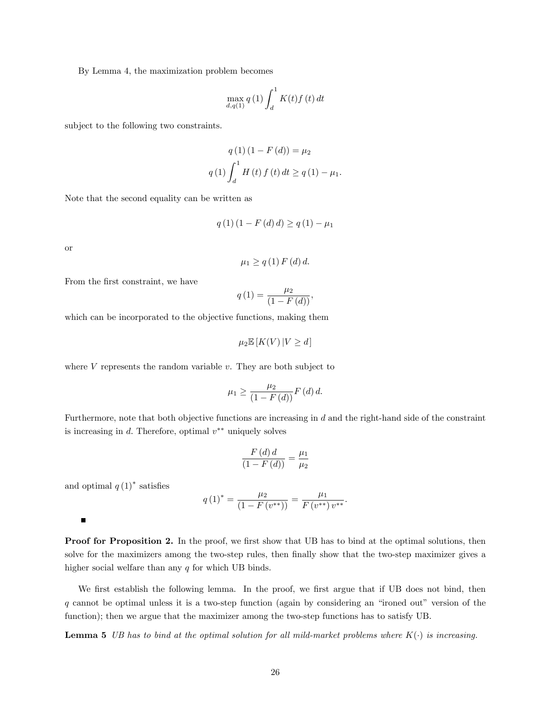By Lemma 4, the maximization problem becomes

$$
\max_{d,q(1)} q(1) \int_d^1 K(t) f(t) dt
$$

subject to the following two constraints.

$$
q(1) (1 - F(d)) = \mu_2
$$
  
 
$$
q(1) \int_d^1 H(t) f(t) dt \ge q(1) - \mu_1.
$$

Note that the second equality can be written as

$$
q(1) (1 - F(d) d) \ge q(1) - \mu_1
$$

or

$$
\mu_1 \ge q(1) F(d) d.
$$

From the first constraint, we have

$$
q(1) = \frac{\mu_2}{(1 - F(d))},
$$

which can be incorporated to the objective functions, making them

$$
\mu_2 \mathbb{E}\left[K(V) \, | V \ge d\right]
$$

where  $V$  represents the random variable  $v$ . They are both subject to

$$
\mu_1 \ge \frac{\mu_2}{\left(1 - F\left(d\right)\right)} F\left(d\right) d.
$$

Furthermore, note that both objective functions are increasing in d and the right-hand side of the constraint is increasing in  $d$ . Therefore, optimal  $v^{**}$  uniquely solves

$$
\frac{F(d) d}{(1 - F(d))} = \frac{\mu_1}{\mu_2}
$$

and optimal  $q(1)^*$  satisfies

$$
q(1)^* = \frac{\mu_2}{(1 - F(v^{**}))} = \frac{\mu_1}{F(v^{**})v^{**}}.
$$

 $\blacksquare$ 

**Proof for Proposition 2.** In the proof, we first show that UB has to bind at the optimal solutions, then solve for the maximizers among the two-step rules, then finally show that the two-step maximizer gives a higher social welfare than any  $q$  for which UB binds.

We first establish the following lemma. In the proof, we first argue that if UB does not bind, then  $q$  cannot be optimal unless it is a two-step function (again by considering an "ironed out" version of the function); then we argue that the maximizer among the two-step functions has to satisfy UB.

**Lemma 5** UB has to bind at the optimal solution for all mild-market problems where  $K(\cdot)$  is increasing.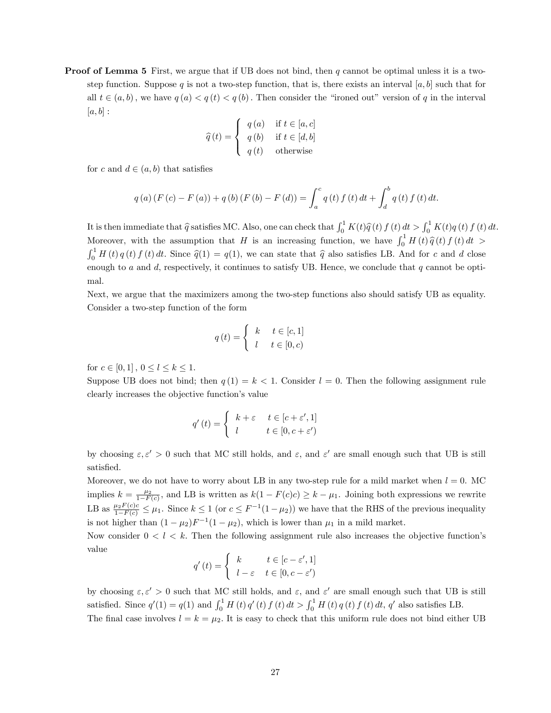**Proof of Lemma 5** First, we argue that if UB does not bind, then q cannot be optimal unless it is a twostep function. Suppose q is not a two-step function, that is, there exists an interval [a, b] such that for all  $t \in (a, b)$ , we have  $q(a) < q(t) < q(b)$ . Then consider the "ironed out" version of q in the interval  $[a, b]$ :

$$
\widehat{q}(t) = \begin{cases}\n q(a) & \text{if } t \in [a, c] \\
q(b) & \text{if } t \in [d, b] \\
q(t) & \text{otherwise}\n\end{cases}
$$

for c and  $d \in (a, b)$  that satisfies

$$
q(a) (F (c) – F (a)) + q(b) (F (b) – F (d)) = \int_{a}^{c} q(t) f(t) dt + \int_{d}^{b} q(t) f(t) dt.
$$

It is then immediate that  $\hat{q}$  satisfies MC. Also, one can check that  $\int_0^1 K(t)\hat{q}(t) f(t) dt > \int_0^1 K(t)q(t) f(t) dt$ . Moreover, with the assumption that H is an increasing function, we have  $\int_0^1 H(t) \hat{q}(t) f(t) dt >$  $\int_0^1 H(t) q(t) f(t) dt$ . Since  $\hat{q}(1) = q(1)$ , we can state that  $\hat{q}$  also satisfies LB. And for c and d close enough to  $a$  and  $d$ , respectively, it continues to satisfy UB. Hence, we conclude that  $q$  cannot be optimal.

Next, we argue that the maximizers among the two-step functions also should satisfy UB as equality. Consider a two-step function of the form

$$
q(t) = \begin{cases} k & t \in [c, 1] \\ l & t \in [0, c) \end{cases}
$$

for  $c \in [0, 1]$ ,  $0 \le l \le k \le 1$ .

Suppose UB does not bind; then  $q(1) = k < 1$ . Consider  $l = 0$ . Then the following assignment rule clearly increases the objective function's value

$$
q'(t) = \begin{cases} k + \varepsilon & t \in [c + \varepsilon', 1] \\ l & t \in [0, c + \varepsilon') \end{cases}
$$

by choosing  $\varepsilon, \varepsilon' > 0$  such that MC still holds, and  $\varepsilon$ , and  $\varepsilon'$  are small enough such that UB is still satisfied.

Moreover, we do not have to worry about LB in any two-step rule for a mild market when  $l = 0$ . MC implies  $k = \frac{\mu_2}{1 - F(c)}$ , and LB is written as  $k(1 - F(c)c) \ge k - \mu_1$ . Joining both expressions we rewrite LB as  $\frac{\mu_2 F(c)c}{1-F(c)} \leq \mu_1$ . Since  $k \leq 1$  (or  $c \leq F^{-1}(1-\mu_2)$ ) we have that the RHS of the previous inequality is not higher than  $(1 - \mu_2)F^{-1}(1 - \mu_2)$ , which is lower than  $\mu_1$  in a mild market.

Now consider  $0 < l < k$ . Then the following assignment rule also increases the objective function's value

$$
q'(t) = \begin{cases} k & t \in [c - \varepsilon', 1] \\ l - \varepsilon & t \in [0, c - \varepsilon') \end{cases}
$$

by choosing  $\varepsilon, \varepsilon' > 0$  such that MC still holds, and  $\varepsilon$ , and  $\varepsilon'$  are small enough such that UB is still satisfied. Since  $q'(1) = q(1)$  and  $\int_0^1 H(t) q'(t) f(t) dt > \int_0^1 H(t) q(t) f(t) dt$ , q' also satisfies LB.

The final case involves  $l = k = \mu_2$ . It is easy to check that this uniform rule does not bind either UB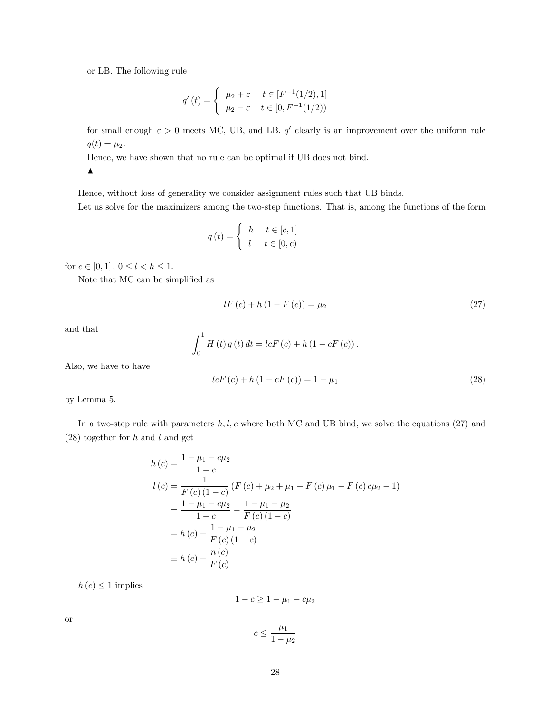or LB. The following rule

$$
q'(t) = \begin{cases} \mu_2 + \varepsilon & t \in [F^{-1}(1/2), 1] \\ \mu_2 - \varepsilon & t \in [0, F^{-1}(1/2)) \end{cases}
$$

for small enough  $\varepsilon > 0$  meets MC, UB, and LB.  $q'$  clearly is an improvement over the uniform rule  $q(t) = \mu_2.$ 

Hence, we have shown that no rule can be optimal if UB does not bind.

 $\blacktriangle$ 

Hence, without loss of generality we consider assignment rules such that UB binds. Let us solve for the maximizers among the two-step functions. That is, among the functions of the form

$$
q(t) = \begin{cases} h & t \in [c, 1] \\ l & t \in [0, c) \end{cases}
$$

for  $c \in [0, 1]$ ,  $0 \le l < h \le 1$ .

Note that MC can be simplified as

$$
lF(c) + h(1 - F(c)) = \mu_2
$$
\n(27)

and that

$$
\int_0^1 H(t) \, q(t) \, dt = lcF(c) + h \left( 1 - cF(c) \right).
$$

Also, we have to have

$$
lcF(c) + h(1 - cF(c)) = 1 - \mu_1
$$
\n(28)

by Lemma 5.

In a two-step rule with parameters  $h, l, c$  where both MC and UB bind, we solve the equations (27) and  $(28)$  together for h and l and get

$$
h(c) = \frac{1 - \mu_1 - c\mu_2}{1 - c}
$$
  
\n
$$
l(c) = \frac{1}{F(c)(1 - c)} (F(c) + \mu_2 + \mu_1 - F(c)\mu_1 - F(c)c\mu_2 - 1)
$$
  
\n
$$
= \frac{1 - \mu_1 - c\mu_2}{1 - c} - \frac{1 - \mu_1 - \mu_2}{F(c)(1 - c)}
$$
  
\n
$$
= h(c) - \frac{1 - \mu_1 - \mu_2}{F(c)(1 - c)}
$$
  
\n
$$
\equiv h(c) - \frac{n(c)}{F(c)}
$$

 $h(c) \leq 1$  implies

 $1 - c \ge 1 - \mu_1 - c\mu_2$ 

or

$$
c\leq \frac{\mu_1}{1-\mu_2}
$$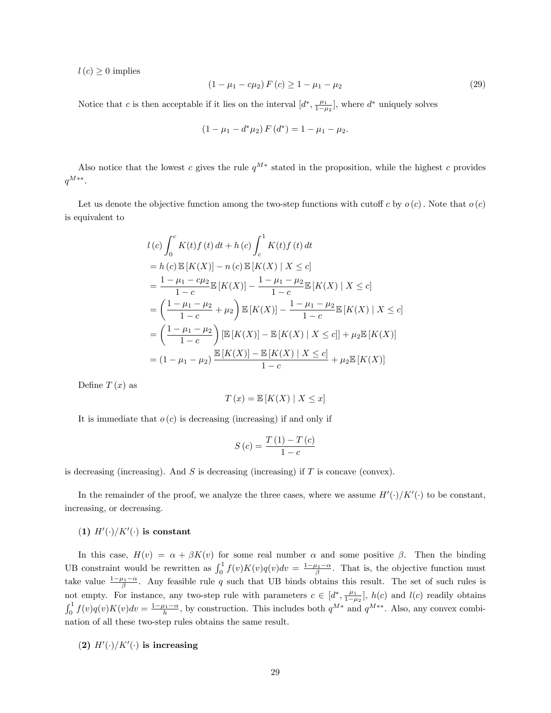$l(c) \geq 0$  implies

$$
(1 - \mu_1 - c\mu_2) F(c) \ge 1 - \mu_1 - \mu_2
$$
\n(29)

Notice that c is then acceptable if it lies on the interval  $(d^*, \frac{\mu_1}{1-\mu_2}]$ , where  $d^*$  uniquely solves

$$
(1 - \mu_1 - d^* \mu_2) F(d^*) = 1 - \mu_1 - \mu_2.
$$

Also notice that the lowest c gives the rule  $q^{M*}$  stated in the proposition, while the highest c provides  $q^{M**}.$ 

Let us denote the objective function among the two-step functions with cutoff c by  $o(c)$ . Note that  $o(c)$ is equivalent to

$$
l(c)\int_{0}^{c} K(t)f(t) dt + h(c)\int_{c}^{1} K(t)f(t) dt
$$
  
=  $h(c)\mathbb{E}[K(X)] - n(c)\mathbb{E}[K(X) | X \le c]$   
=  $\frac{1 - \mu_{1} - c\mu_{2}}{1 - c}\mathbb{E}[K(X)] - \frac{1 - \mu_{1} - \mu_{2}}{1 - c}\mathbb{E}[K(X) | X \le c]$   
=  $\left(\frac{1 - \mu_{1} - \mu_{2}}{1 - c} + \mu_{2}\right) \mathbb{E}[K(X)] - \frac{1 - \mu_{1} - \mu_{2}}{1 - c}\mathbb{E}[K(X) | X \le c]$   
=  $\left(\frac{1 - \mu_{1} - \mu_{2}}{1 - c}\right) [\mathbb{E}[K(X)] - \mathbb{E}[K(X) | X \le c]] + \mu_{2}\mathbb{E}[K(X)]$   
=  $(1 - \mu_{1} - \mu_{2}) \frac{\mathbb{E}[K(X)] - \mathbb{E}[K(X) | X \le c]}{1 - c} + \mu_{2}\mathbb{E}[K(X)]$ 

Define  $T(x)$  as

$$
T(x) = \mathbb{E}[K(X) | X \le x]
$$

It is immediate that  $o(c)$  is decreasing (increasing) if and only if

$$
S\left(c\right) = \frac{T\left(1\right) - T\left(c\right)}{1 - c}
$$

is decreasing (increasing). And S is decreasing (increasing) if T is concave (convex).

In the remainder of the proof, we analyze the three cases, where we assume  $H'(\cdot)/K'(\cdot)$  to be constant, increasing, or decreasing.

### (1)  $H'(\cdot)/K'(\cdot)$  is constant

In this case,  $H(v) = \alpha + \beta K(v)$  for some real number  $\alpha$  and some positive  $\beta$ . Then the binding UB constraint would be rewritten as  $\int_0^1 f(v)K(v)q(v)dv = \frac{1-\mu_1-\alpha}{\beta}$ . That is, the objective function must take value  $\frac{1-\mu_1-\alpha}{\beta}$ . Any feasible rule q such that UB binds obtains this result. The set of such rules is not empty. For instance, any two-step rule with parameters  $c \in [d^*, \frac{\mu_1}{1-\mu_2}]$ ,  $h(c)$  and  $l(c)$  readily obtains  $\int_0^1 f(v)q(v)K(v)dv = \frac{1-\mu_1-\alpha}{h}$ , by construction. This includes both  $q^{M*}$  and  $q^{M**}$ . Also, any convex combination of all these two-step rules obtains the same result.

(2)  $H'(\cdot)/K'(\cdot)$  is increasing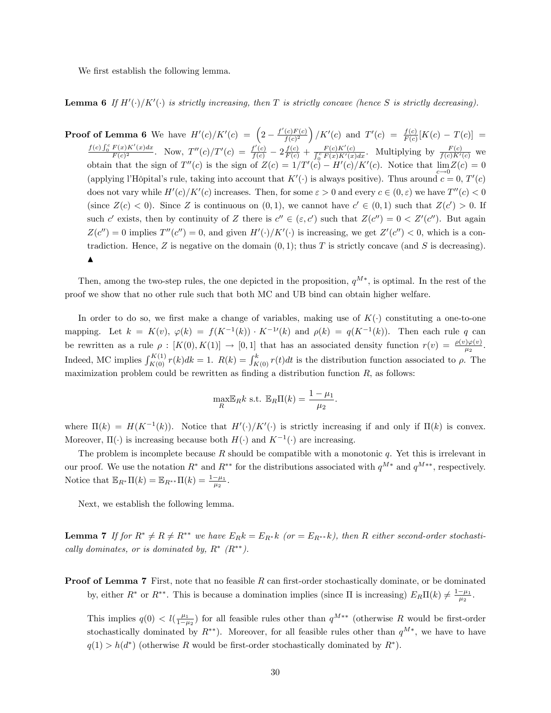We first establish the following lemma.

**Lemma 6** If  $H'(\cdot)/K'(\cdot)$  is strictly increasing, then T is strictly concave (hence S is strictly decreasing).

**Proof of Lemma 6** We have  $H'(c)/K'(c) = \left(2 - \frac{f'(c)F(c)}{f(c)^2}\right)$  $\frac{(c)F(c)}{f(c)^2}$  /K'(c) and  $T'(c) = \frac{f(c)}{F(c)}[K(c) - T(c)] =$  $\int_0^c F(x)K'(x)dx$  $\frac{F(x)K'(x)dx}{F(c)^2}$ . Now,  $T''(c)/T'(c) = \frac{f'(c)}{f(c)} - 2\frac{f(c)}{F(c)} + \frac{F(c)K'(c)}{\int_0^c F(x)K'(x)dx}$ . Multiplying by  $\frac{F(c)}{f(c)K'(c)}$  we obtain that the sign of  $T''(c)$  is the sign of  $Z(c) = 1/T'(c) - H'(c)/K'(c)$ . Notice that  $\lim_{c \to 0} Z(c) = 0$ (applying l'Hôpital's rule, taking into account that  $K'(\cdot)$  is always positive). Thus around  $c = 0, T'(c)$ does not vary while  $H'(c)/K'(c)$  increases. Then, for some  $\varepsilon > 0$  and every  $c \in (0, \varepsilon)$  we have  $T''(c) < 0$ (since  $Z(c) < 0$ ). Since Z is continuous on  $(0, 1)$ , we cannot have  $c' \in (0, 1)$  such that  $Z(c') > 0$ . If such c' exists, then by continuity of Z there is  $c'' \in (\varepsilon, c')$  such that  $Z(c'') = 0 < Z'(c'')$ . But again  $Z(c'') = 0$  implies  $T''(c'') = 0$ , and given  $H'(\cdot)/K'(\cdot)$  is increasing, we get  $Z'(c'') < 0$ , which is a contradiction. Hence, Z is negative on the domain  $(0, 1)$ ; thus T is strictly concave (and S is decreasing).  $\blacktriangle$ 

Then, among the two-step rules, the one depicted in the proposition,  $q^{M*}$ , is optimal. In the rest of the proof we show that no other rule such that both MC and UB bind can obtain higher welfare.

In order to do so, we first make a change of variables, making use of  $K(\cdot)$  constituting a one-to-one mapping. Let  $k = K(v)$ ,  $\varphi(k) = f(K^{-1}(k)) \cdot K^{-1}(k)$  and  $\rho(k) = q(K^{-1}(k))$ . Then each rule q can be rewritten as a rule  $\rho : [K(0), K(1)] \to [0, 1]$  that has an associated density function  $r(v) = \frac{\rho(v)\varphi(v)}{\mu_2}$ . Indeed, MC implies  $\int_{K(0)}^{K(1)} r(k)dk = 1$ .  $R(k) = \int_{K(0)}^{k} r(t)dt$  is the distribution function associated to  $\rho$ . The maximization problem could be rewritten as finding a distribution function  $R$ , as follows:

$$
\max_{R} \mathbb{E}_{R} k \text{ s.t. } \mathbb{E}_{R} \Pi(k) = \frac{1 - \mu_1}{\mu_2}.
$$

where  $\Pi(k) = H(K^{-1}(k))$ . Notice that  $H'(\cdot)/K'(\cdot)$  is strictly increasing if and only if  $\Pi(k)$  is convex. Moreover,  $\Pi(\cdot)$  is increasing because both  $H(\cdot)$  and  $K^{-1}(\cdot)$  are increasing.

The problem is incomplete because  $R$  should be compatible with a monotonic  $q$ . Yet this is irrelevant in our proof. We use the notation  $R^*$  and  $R^{**}$  for the distributions associated with  $q^{M*}$  and  $q^{M**}$ , respectively. Notice that  $\mathbb{E}_{R^*} \Pi(k) = \mathbb{E}_{R^{**}} \Pi(k) = \frac{1-\mu_1}{\mu_2}$ .

Next, we establish the following lemma.

**Lemma 7** If for  $R^* \neq R \neq R^{**}$  we have  $E_R k = E_{R^*} k$  (or  $= E_{R^{**}} k$ ), then R either second-order stochastically dominates, or is dominated by,  $R^*$   $(R^{**})$ .

**Proof of Lemma 7** First, note that no feasible  $R$  can first-order stochastically dominate, or be dominated by, either  $R^*$  or  $R^{**}$ . This is because a domination implies (since  $\Pi$  is increasing)  $E_R \Pi(k) \neq \frac{1-\mu_1}{\mu_2}$ .

This implies  $q(0) < l(\frac{\mu_1}{1-\mu_2})$  for all feasible rules other than  $q^{M**}$  (otherwise R would be first-order stochastically dominated by  $R^{**}$ ). Moreover, for all feasible rules other than  $q^{M*}$ , we have to have  $q(1) > h(d^*)$  (otherwise R would be first-order stochastically dominated by  $R^*$ ).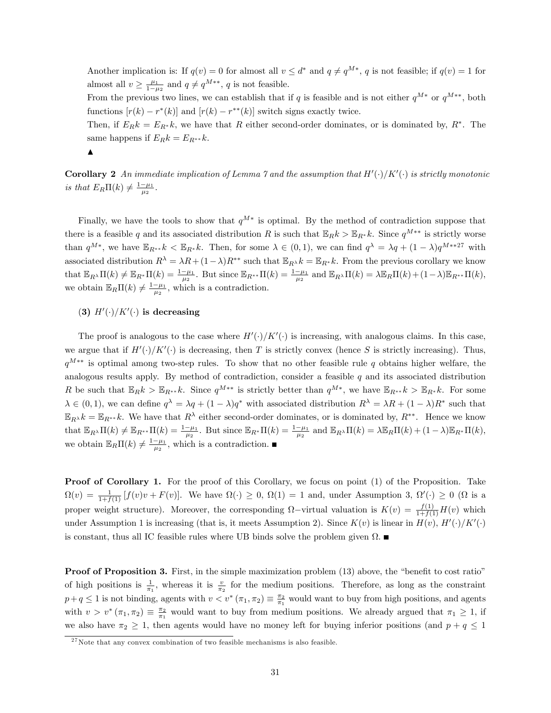Another implication is: If  $q(v) = 0$  for almost all  $v \leq d^*$  and  $q \neq q^{M*}$ , q is not feasible; if  $q(v) = 1$  for almost all  $v \ge \frac{\mu_1}{1-\mu_2}$  and  $q \ne q^{M**}$ , q is not feasible.

From the previous two lines, we can establish that if q is feasible and is not either  $q^{M*}$  or  $q^{M**}$ , both functions  $[r(k) - r^*(k)]$  and  $[r(k) - r^{**}(k)]$  switch signs exactly twice.

Then, if  $E_R k = E_{R^*} k$ , we have that R either second-order dominates, or is dominated by,  $R^*$ . The same happens if  $E_R k = E_{R^{**}} k$ .



**Corollary 2** An immediate implication of Lemma  $\gamma$  and the assumption that  $H'(\cdot)/K'(\cdot)$  is strictly monotonic is that  $E_R\Pi(k) \neq \frac{1-\mu_1}{\mu_2}$ .

Finally, we have the tools to show that  $q^{M*}$  is optimal. By the method of contradiction suppose that there is a feasible q and its associated distribution R is such that  $\mathbb{E}_R k > \mathbb{E}_{R^*} k$ . Since  $q^{M^{**}}$  is strictly worse than  $q^{M*}$ , we have  $\mathbb{E}_{R^{**}}k < \mathbb{E}_{R^*}k$ . Then, for some  $\lambda \in (0,1)$ , we can find  $q^{\lambda} = \lambda q + (1-\lambda)q^{M**27}$  with associated distribution  $R^{\lambda} = \lambda R + (1-\lambda)R^{**}$  such that  $\mathbb{E}_{R^{\lambda}}k = \mathbb{E}_{R^{*}}k$ . From the previous corollary we know that  $\mathbb{E}_{R^{\lambda}}\Pi(k) \neq \mathbb{E}_{R^*}\Pi(k) = \frac{1-\mu_1}{\mu_2}$ . But since  $\mathbb{E}_{R^{**}}\Pi(k) = \frac{1-\mu_1}{\mu_2}$  and  $\mathbb{E}_{R^{\lambda}}\Pi(k) = \lambda \mathbb{E}_R\Pi(k) + (1-\lambda)\mathbb{E}_{R^{**}}\Pi(k)$ , we obtain  $\mathbb{E}_R\Pi(k) \neq \frac{1-\mu_1}{\mu_2}$ , which is a contradiction.

### (3)  $H'(\cdot)/K'(\cdot)$  is decreasing

The proof is analogous to the case where  $H'(\cdot)/K'(\cdot)$  is increasing, with analogous claims. In this case, we argue that if  $H'(\cdot)/K'(\cdot)$  is decreasing, then T is strictly convex (hence S is strictly increasing). Thus,  $q^{M**}$  is optimal among two-step rules. To show that no other feasible rule q obtains higher welfare, the analogous results apply. By method of contradiction, consider a feasible  $q$  and its associated distribution R be such that  $\mathbb{E}_R k > \mathbb{E}_{R^{**}} k$ . Since  $q^{M^{**}}$  is strictly better than  $q^{M^*}$ , we have  $\mathbb{E}_{R^{**}} k > \mathbb{E}_{R^*} k$ . For some  $\lambda \in (0,1)$ , we can define  $q^{\lambda} = \lambda q + (1 - \lambda)q^*$  with associated distribution  $R^{\lambda} = \lambda R + (1 - \lambda)R^*$  such that  $\mathbb{E}_{R^{\lambda}}k = \mathbb{E}_{R^{**}}k$ . We have that  $R^{\lambda}$  either second-order dominates, or is dominated by,  $R^{**}$ . Hence we know that  $\mathbb{E}_{R^{\lambda}}\Pi(k) \neq \mathbb{E}_{R^{**}}\Pi(k) = \frac{1-\mu_1}{\mu_2}$ . But since  $\mathbb{E}_{R^*}\Pi(k) = \frac{1-\mu_1}{\mu_2}$  and  $\mathbb{E}_{R^{\lambda}}\Pi(k) = \lambda \mathbb{E}_R\Pi(k) + (1-\lambda)\mathbb{E}_{R^*}\Pi(k)$ , we obtain  $\mathbb{E}_R\Pi(k) \neq \frac{1-\mu_1}{\mu_2}$ , which is a contradiction.

**Proof of Corollary 1.** For the proof of this Corollary, we focus on point (1) of the Proposition. Take  $\Omega(v) = \frac{1}{1+f(1)} [f(v)v + F(v)].$  We have  $\Omega(\cdot) \geq 0$ ,  $\Omega(1) = 1$  and, under Assumption 3,  $\Omega'(\cdot) \geq 0$  ( $\Omega$  is a proper weight structure). Moreover, the corresponding  $\Omega$ -virtual valuation is  $K(v) = \frac{f(1)}{1+f(1)}H(v)$  which under Assumption 1 is increasing (that is, it meets Assumption 2). Since  $K(v)$  is linear in  $H(v)$ ,  $H'(\cdot)/K'(\cdot)$ is constant, thus all IC feasible rules where UB binds solve the problem given  $\Omega$ .

**Proof of Proposition 3.** First, in the simple maximization problem  $(13)$  above, the "benefit to cost ratio" of high positions is  $\frac{1}{\pi_1}$ , whereas it is  $\frac{v}{\pi_2}$  for the medium positions. Therefore, as long as the constraint  $p+q \leq 1$  is not binding, agents with  $v < v^* (\pi_1, \pi_2) \equiv \frac{\pi_2}{\pi_1}$  would want to buy from high positions, and agents with  $v > v^*(\pi_1, \pi_2) \equiv \frac{\pi_2}{\pi_1}$  would want to buy from medium positions. We already argued that  $\pi_1 \geq 1$ , if we also have  $\pi_2 \geq 1$ , then agents would have no money left for buying inferior positions (and  $p + q \leq 1$ 

 $27$ Note that any convex combination of two feasible mechanisms is also feasible.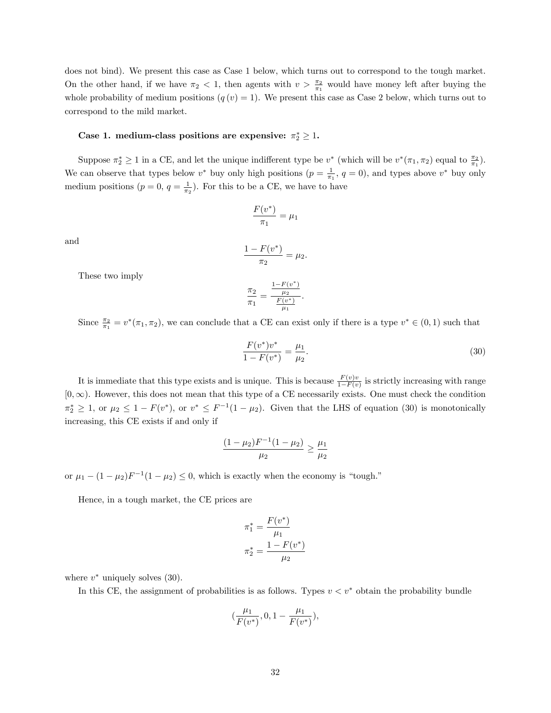does not bind). We present this case as Case 1 below, which turns out to correspond to the tough market. On the other hand, if we have  $\pi_2 < 1$ , then agents with  $v > \frac{\pi_2}{\pi_1}$  would have money left after buying the whole probability of medium positions  $(q(v) = 1)$ . We present this case as Case 2 below, which turns out to correspond to the mild market.

### Case 1. medium-class positions are expensive:  $\pi_2^* \geq 1$ .

Suppose  $\pi_2^* \geq 1$  in a CE, and let the unique indifferent type be  $v^*$  (which will be  $v^*(\pi_1, \pi_2)$  equal to  $\frac{\pi_2}{\pi_1}$ ). We can observe that types below  $v^*$  buy only high positions  $(p = \frac{1}{\pi_1}, q = 0)$ , and types above  $v^*$  buy only medium positions  $(p = 0, q = \frac{1}{\pi_2})$ . For this to be a CE, we have to have

$$
\frac{F(v^*)}{\pi_1} = \mu_1
$$

and

$$
\frac{1 - F(v^*)}{\pi_2} = \mu_2.
$$

These two imply

$$
\frac{\pi_2}{\pi_1} = \frac{\frac{1 - F(v^*)}{\mu_2}}{\frac{F(v^*)}{\mu_1}}
$$

:

Since  $\frac{\pi_2}{\pi_1} = v^*(\pi_1, \pi_2)$ , we can conclude that a CE can exist only if there is a type  $v^* \in (0, 1)$  such that

$$
\frac{F(v^*)v^*}{1 - F(v^*)} = \frac{\mu_1}{\mu_2}.\tag{30}
$$

It is immediate that this type exists and is unique. This is because  $\frac{F(v)v}{1-F(v)}$  is strictly increasing with range  $[0, \infty)$ . However, this does not mean that this type of a CE necessarily exists. One must check the condition  $\pi_2^* \geq 1$ , or  $\mu_2 \leq 1 - F(v^*)$ , or  $v^* \leq F^{-1}(1 - \mu_2)$ . Given that the LHS of equation (30) is monotonically increasing, this CE exists if and only if

$$
\frac{(1-\mu_2)F^{-1}(1-\mu_2)}{\mu_2} \ge \frac{\mu_1}{\mu_2}
$$

or  $\mu_1 - (1 - \mu_2)F^{-1}(1 - \mu_2) \leq 0$ , which is exactly when the economy is "tough."

Hence, in a tough market, the CE prices are

$$
\pi_1^* = \frac{F(v^*)}{\mu_1}
$$

$$
\pi_2^* = \frac{1 - F(v^*)}{\mu_2}
$$

where  $v^*$  uniquely solves  $(30)$ .

In this CE, the assignment of probabilities is as follows. Types  $v < v^*$  obtain the probability bundle

$$
(\frac{\mu_1}{F(v^*)},0,1-\frac{\mu_1}{F(v^*)}),
$$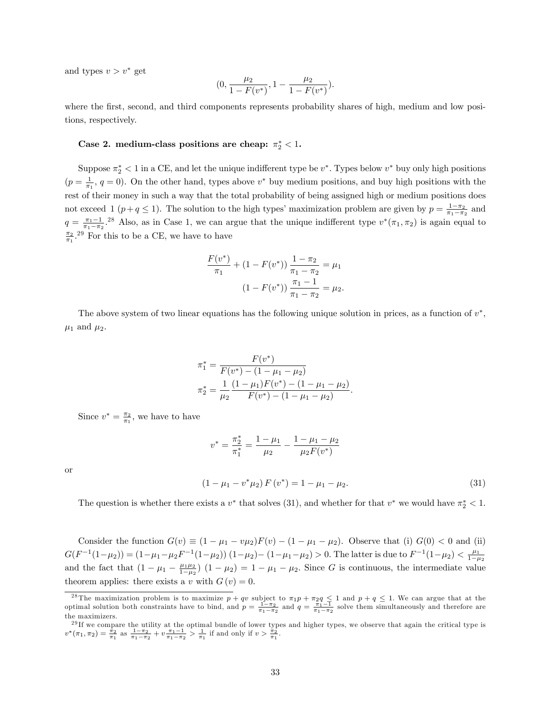and types  $v > v^*$  get

$$
\big(0, \frac{\mu_2}{1-F(v^*)}, 1-\frac{\mu_2}{1-F(v^*)}\big).
$$

where the first, second, and third components represents probability shares of high, medium and low positions, respectively.

#### Case 2. medium-class positions are cheap:  $\pi_2^* < 1$ .

Suppose  $\pi_2^* < 1$  in a CE, and let the unique indifferent type be  $v^*$ . Types below  $v^*$  buy only high positions  $(p = \frac{1}{\pi_1}, q = 0)$ . On the other hand, types above  $v^*$  buy medium positions, and buy high positions with the rest of their money in such a way that the total probability of being assigned high or medium positions does not exceed 1 ( $p+q \leq 1$ ). The solution to the high types' maximization problem are given by  $p = \frac{1-\pi_2}{\pi_1-\pi_2}$  and  $q = \frac{\pi_1 - 1}{\pi_1 - \pi_2}$ .<sup>28</sup> Also, as in Case 1, we can argue that the unique indifferent type  $v^*(\pi_1, \pi_2)$  is again equal to  $\frac{\pi_2}{\pi_1}$ <sup>29</sup> For this to be a CE, we have to have

$$
\frac{F(v^*)}{\pi_1} + (1 - F(v^*)) \frac{1 - \pi_2}{\pi_1 - \pi_2} = \mu_1
$$

$$
(1 - F(v^*)) \frac{\pi_1 - 1}{\pi_1 - \pi_2} = \mu_2.
$$

The above system of two linear equations has the following unique solution in prices, as a function of  $v^*$ ,  $\mu_1$  and  $\mu_2$ .

$$
\pi_1^* = \frac{F(v^*)}{F(v^*) - (1 - \mu_1 - \mu_2)}
$$

$$
\pi_2^* = \frac{1}{\mu_2} \frac{(1 - \mu_1)F(v^*) - (1 - \mu_1 - \mu_2)}{F(v^*) - (1 - \mu_1 - \mu_2)}.
$$

Since  $v^* = \frac{\pi_2}{\pi_1}$ , we have to have

$$
v^* = \frac{\pi_2^*}{\pi_1^*} = \frac{1 - \mu_1}{\mu_2} - \frac{1 - \mu_1 - \mu_2}{\mu_2 F(v^*)}
$$
  
(1 - \mu\_1 - v^\* \mu\_2) F(v^\*) = 1 - \mu\_1 - \mu\_2. (31)

or

The question is whether there exists a 
$$
v^*
$$
 that solves (31), and whether for that  $v^*$  we would have  $\pi_2^* < 1$ .

Consider the function  $G(v) \equiv (1 - \mu_1 - v\mu_2)F(v) - (1 - \mu_1 - \mu_2)$ . Observe that (i)  $G(0) < 0$  and (ii)  $G(F^{-1}(1-\mu_2)) = (1-\mu_1-\mu_2F^{-1}(1-\mu_2)) (1-\mu_2) - (1-\mu_1-\mu_2) > 0.$  The latter is due to  $F^{-1}(1-\mu_2) < \frac{\mu_1}{1-\mu_2}$ and the fact that  $(1 - \mu_1 - \frac{\mu_1 \mu_2}{1 - \mu_2}) (1 - \mu_2) = 1 - \mu_1 - \mu_2$ . Since G is continuous, the intermediate value theorem applies: there exists a v with  $G(v) = 0$ .

<sup>&</sup>lt;sup>28</sup>The maximization problem is to maximize  $p + qv$  subject to  $\pi_1 p + \pi_2 q \leq 1$  and  $p + q \leq 1$ . We can argue that at the optimal solution both constraints have to bind, and  $p = \frac{1-\pi_2}{\pi_1-\pi_2}$  and  $q = \frac{\pi_1-1}{\pi_1-\pi_2$ the maximizers.

 $^{29}$ If we compare the utility at the optimal bundle of lower types and higher types, we observe that again the critical type is  $v^*(\pi_1, \pi_2) = \frac{\pi_2}{\pi_1}$  as  $\frac{1 - \pi_2}{\pi_1 - \pi_2} + v \frac{\pi_1 - 1}{\pi_1 - \pi_2} > \frac{1}{\pi_1}$  if and only if  $v > \frac{\pi_2}{\pi_1}$ .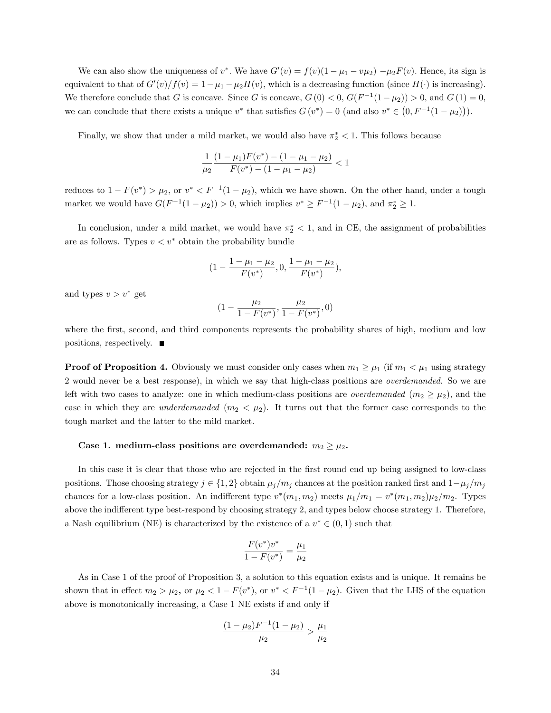We can also show the uniqueness of  $v^*$ . We have  $G'(v) = f(v)(1 - \mu_1 - v\mu_2) - \mu_2 F(v)$ . Hence, its sign is equivalent to that of  $G'(v)/f(v) = 1 - \mu_1 - \mu_2H(v)$ , which is a decreasing function (since  $H(\cdot)$  is increasing). We therefore conclude that G is concave. Since G is concave,  $G(0) < 0$ ,  $G(F^{-1}(1 - \mu_2)) > 0$ , and  $G(1) = 0$ , we can conclude that there exists a unique  $v^*$  that satisfies  $G(v^*) = 0$  (and also  $v^* \in (0, F^{-1}(1 - \mu_2))$ ).

Finally, we show that under a mild market, we would also have  $\pi_2^* < 1$ . This follows because

$$
\frac{1}{\mu_2} \frac{(1 - \mu_1) F(v^*) - (1 - \mu_1 - \mu_2)}{F(v^*) - (1 - \mu_1 - \mu_2)} < 1
$$

reduces to  $1 - F(v^*) > \mu_2$ , or  $v^* < F^{-1}(1 - \mu_2)$ , which we have shown. On the other hand, under a tough market we would have  $G(F^{-1}(1 - \mu_2)) > 0$ , which implies  $v^* \ge F^{-1}(1 - \mu_2)$ , and  $\pi_2^* \ge 1$ .

In conclusion, under a mild market, we would have  $\pi^*_{2} < 1$ , and in CE, the assignment of probabilities are as follows. Types  $v < v^*$  obtain the probability bundle

$$
(1 - \frac{1 - \mu_1 - \mu_2}{F(v^*)}, 0, \frac{1 - \mu_1 - \mu_2}{F(v^*)}),
$$

and types  $v > v^*$  get

$$
(1 - \frac{\mu_2}{1 - F(v^*)}, \frac{\mu_2}{1 - F(v^*)}, 0)
$$

where the first, second, and third components represents the probability shares of high, medium and low positions, respectively.

**Proof of Proposition 4.** Obviously we must consider only cases when  $m_1 \geq \mu_1$  (if  $m_1 < \mu_1$  using strategy 2 would never be a best response), in which we say that high-class positions are overdemanded. So we are left with two cases to analyze: one in which medium-class positions are *overdemanded*  $(m_2 \geq \mu_2)$ , and the case in which they are *underdemanded*  $(m_2 < \mu_2)$ . It turns out that the former case corresponds to the tough market and the latter to the mild market.

#### Case 1. medium-class positions are overdemanded:  $m_2 \geq \mu_2$ .

In this case it is clear that those who are rejected in the first round end up being assigned to low-class positions. Those choosing strategy  $j \in \{1,2\}$  obtain  $\mu_j/m_j$  chances at the position ranked first and  $1-\mu_j/m_j$ chances for a low-class position. An indifferent type  $v^*(m_1, m_2)$  meets  $\mu_1/m_1 = v^*(m_1, m_2)\mu_2/m_2$ . Types above the indifferent type best-respond by choosing strategy 2, and types below choose strategy 1. Therefore, a Nash equilibrium (NE) is characterized by the existence of a  $v^* \in (0,1)$  such that

$$
\frac{F(v^*)v^*}{1 - F(v^*)} = \frac{\mu_1}{\mu_2}
$$

As in Case 1 of the proof of Proposition 3, a solution to this equation exists and is unique. It remains be shown that in effect  $m_2 > \mu_2$ , or  $\mu_2 < 1 - F(v^*)$ , or  $v^* < F^{-1}(1 - \mu_2)$ . Given that the LHS of the equation above is monotonically increasing, a Case 1 NE exists if and only if

$$
\frac{(1-\mu_2)F^{-1}(1-\mu_2)}{\mu_2} > \frac{\mu_1}{\mu_2}
$$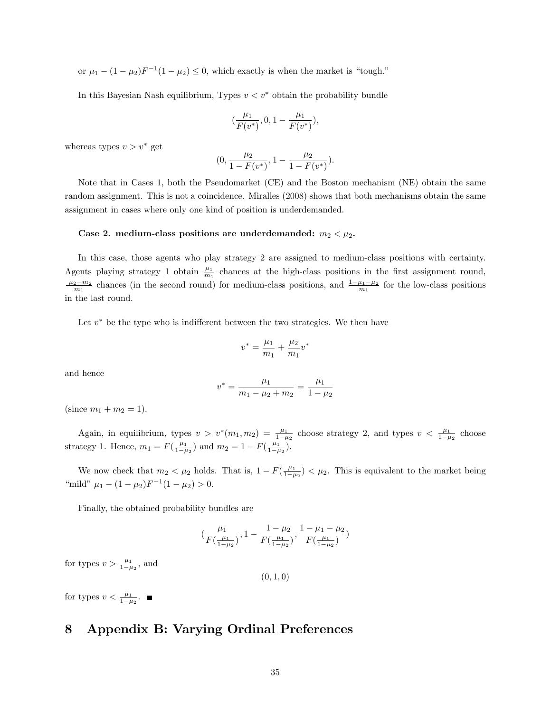or  $\mu_1 - (1 - \mu_2)F^{-1}(1 - \mu_2) \leq 0$ , which exactly is when the market is "tough."

In this Bayesian Nash equilibrium, Types  $v < v^*$  obtain the probability bundle

$$
(\frac{\mu_1}{F(v^*)},0,1-\frac{\mu_1}{F(v^*)}),
$$

whereas types  $v > v^*$  get

$$
\big(0, \frac{\mu_2}{1-F(v^*)}, 1-\frac{\mu_2}{1-F(v^*)}\big).
$$

Note that in Cases 1, both the Pseudomarket (CE) and the Boston mechanism (NE) obtain the same random assignment. This is not a coincidence. Miralles (2008) shows that both mechanisms obtain the same assignment in cases where only one kind of position is underdemanded.

#### Case 2. medium-class positions are underdemanded:  $m_2 < \mu_2$ .

In this case, those agents who play strategy 2 are assigned to medium-class positions with certainty. Agents playing strategy 1 obtain  $\frac{\mu_1}{m_1}$  chances at the high-class positions in the first assignment round,  $\frac{\mu_2 - m_2}{m_1}$  chances (in the second round) for medium-class positions, and  $\frac{1 - \mu_1 - \mu_2}{m_1}$  for the low-class positions in the last round.

Let  $v^*$  be the type who is indifferent between the two strategies. We then have

$$
v^* = \frac{\mu_1}{m_1} + \frac{\mu_2}{m_1}v^*
$$

and hence

$$
v^* = \frac{\mu_1}{m_1 - \mu_2 + m_2} = \frac{\mu_1}{1 - \mu_2}
$$

(since  $m_1 + m_2 = 1$ ).

Again, in equilibrium, types  $v > v^*(m_1, m_2) = \frac{\mu_1}{1-\mu_2}$  choose strategy 2, and types  $v < \frac{\mu_1}{1-\mu_2}$  choose strategy 1. Hence,  $m_1 = F(\frac{\mu_1}{1-\mu_2})$  and  $m_2 = 1 - F(\frac{\mu_1}{1-\mu_2})$ .

We now check that  $m_2 < \mu_2$  holds. That is,  $1 - F(\frac{\mu_1}{1 - \mu_2}) < \mu_2$ . This is equivalent to the market being "mild"  $\mu_1 - (1 - \mu_2)F^{-1}(1 - \mu_2) > 0.$ 

Finally, the obtained probability bundles are

$$
\big(\frac{\mu_1}{F\big(\frac{\mu_1}{1-\mu_2}\big)},1-\frac{1-\mu_2}{F\big(\frac{\mu_1}{1-\mu_2}\big)},\frac{1-\mu_1-\mu_2}{F\big(\frac{\mu_1}{1-\mu_2}\big)})
$$

for types  $v > \frac{\mu_1}{1-\mu_2}$ , and

 $(0, 1, 0)$ 

for types  $v < \frac{\mu_1}{1-\mu_2}$ .

### 8 Appendix B: Varying Ordinal Preferences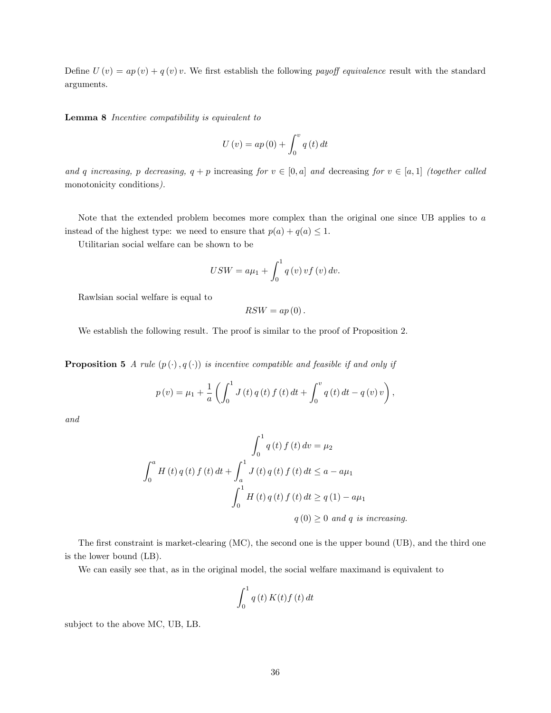Define  $U(v) = ap(v) + q(v)v$ . We first establish the following payoff equivalence result with the standard arguments.

Lemma 8 Incentive compatibility is equivalent to

$$
U\left(v\right) = ap\left(0\right) + \int_0^v q\left(t\right) dt
$$

and q increasing, p decreasing,  $q + p$  increasing for  $v \in [0, a]$  and decreasing for  $v \in [a, 1]$  (together called monotonicity conditions).

Note that the extended problem becomes more complex than the original one since UB applies to a instead of the highest type: we need to ensure that  $p(a) + q(a) \leq 1$ .

Utilitarian social welfare can be shown to be

$$
USW = a\mu_1 + \int_0^1 q(v) v f(v) dv.
$$

Rawlsian social welfare is equal to

 $RSW = ap(0)$ .

We establish the following result. The proof is similar to the proof of Proposition 2.

**Proposition 5** A rule  $(p(\cdot), q(\cdot))$  is incentive compatible and feasible if and only if

$$
p(v) = \mu_1 + \frac{1}{a} \left( \int_0^1 J(t) q(t) f(t) dt + \int_0^v q(t) dt - q(v) v \right),
$$

and

$$
\int_{0}^{1} q(t) f(t) dv = \mu_{2}
$$
  

$$
\int_{0}^{a} H(t) q(t) f(t) dt + \int_{a}^{1} J(t) q(t) f(t) dt \le a - a\mu_{1}
$$
  

$$
\int_{0}^{1} H(t) q(t) f(t) dt \ge q(1) - a\mu_{1}
$$
  

$$
q(0) \ge 0 \text{ and } q \text{ is increasing.}
$$

The first constraint is market-clearing (MC), the second one is the upper bound (UB), and the third one is the lower bound (LB).

We can easily see that, as in the original model, the social welfare maximand is equivalent to

$$
\int_0^1 q(t) K(t) f(t) dt
$$

subject to the above MC, UB, LB.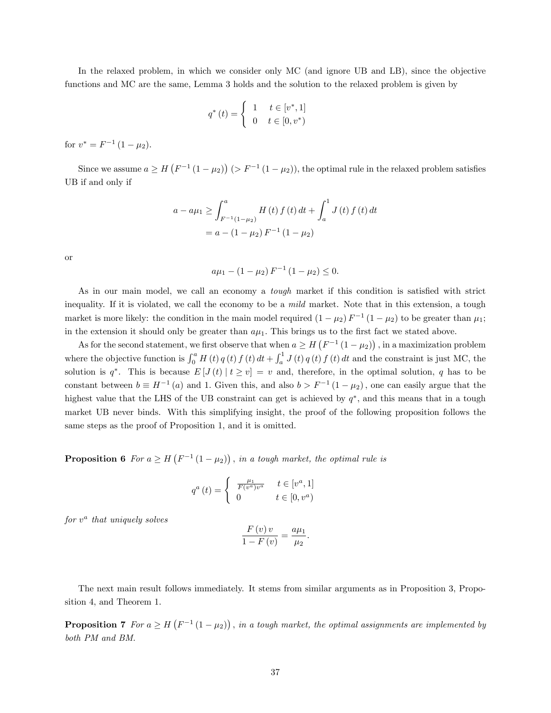In the relaxed problem, in which we consider only MC (and ignore UB and LB), since the objective functions and MC are the same, Lemma 3 holds and the solution to the relaxed problem is given by

$$
q^*(t) = \begin{cases} 1 & t \in [v^*, 1] \\ 0 & t \in [0, v^*) \end{cases}
$$

for  $v^* = F^{-1} (1 - \mu_2)$ .

Since we assume  $a \geq H(F^{-1}(1-\mu_2))$   $(> F^{-1}(1-\mu_2))$ , the optimal rule in the relaxed problem satisfies UB if and only if

$$
a - a\mu_1 \ge \int_{F^{-1}(1-\mu_2)}^a H(t) f(t) dt + \int_a^1 J(t) f(t) dt
$$
  
=  $a - (1 - \mu_2) F^{-1} (1 - \mu_2)$ 

or

$$
a\mu_1 - (1 - \mu_2) F^{-1} (1 - \mu_2) \le 0.
$$

As in our main model, we call an economy a *tough* market if this condition is satisfied with strict inequality. If it is violated, we call the economy to be a *mild* market. Note that in this extension, a tough market is more likely: the condition in the main model required  $(1 - \mu_2) F^{-1} (1 - \mu_2)$  to be greater than  $\mu_1$ ; in the extension it should only be greater than  $a\mu_1$ . This brings us to the first fact we stated above.

As for the second statement, we first observe that when  $a \geq H(F^{-1}(1-\mu_2))$ , in a maximization problem where the objective function is  $\int_0^a H(t) q(t) f(t) dt + \int_a^1 J(t) q(t) f(t) dt$  and the constraint is just MC, the solution is  $q^*$ . This is because  $E[J(t) | t \ge v] = v$  and, therefore, in the optimal solution, q has to be constant between  $b \equiv H^{-1}(a)$  and 1. Given this, and also  $b > F^{-1}(1 - \mu_2)$ , one can easily argue that the highest value that the LHS of the UB constraint can get is achieved by  $q^*$ , and this means that in a tough market UB never binds. With this simplifying insight, the proof of the following proposition follows the same steps as the proof of Proposition 1, and it is omitted.

**Proposition 6** For  $a \geq H(F^{-1}(1-\mu_2))$ , in a tough market, the optimal rule is

$$
q^{a}\left(t\right) = \begin{cases} \frac{\mu_{1}}{F\left(v^{a}\right)v^{a}} & t \in\left[v^{a},1\right] \\ 0 & t \in\left[0,v^{a}\right) \end{cases}
$$

 $for v^a$  that uniquely solves

$$
\frac{F(v) v}{1 - F(v)} = \frac{a\mu_1}{\mu_2}
$$

:

The next main result follows immediately. It stems from similar arguments as in Proposition 3, Proposition 4, and Theorem 1.

**Proposition 7** For  $a \geq H(F^{-1}(1-\mu_2))$ , in a tough market, the optimal assignments are implemented by both PM and BM.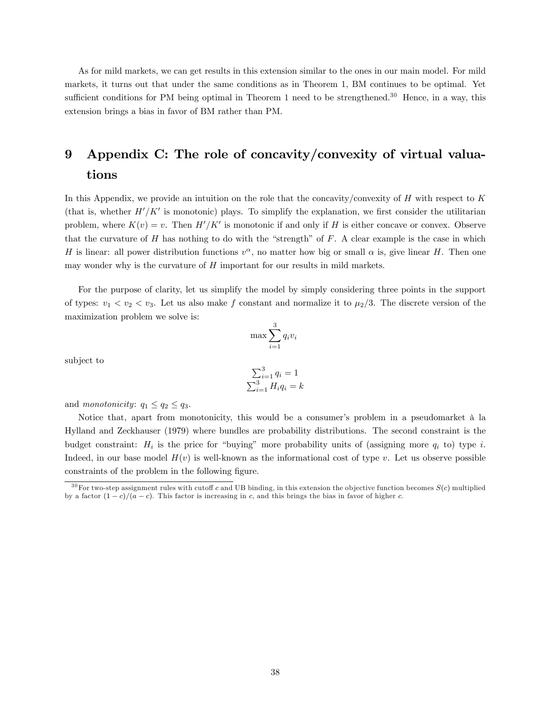As for mild markets, we can get results in this extension similar to the ones in our main model. For mild markets, it turns out that under the same conditions as in Theorem 1, BM continues to be optimal. Yet sufficient conditions for PM being optimal in Theorem 1 need to be strengthened.<sup>30</sup> Hence, in a way, this extension brings a bias in favor of BM rather than PM.

# 9 Appendix C: The role of concavity/convexity of virtual valuations

In this Appendix, we provide an intuition on the role that the concavity/convexity of  $H$  with respect to  $K$ (that is, whether  $H'/K'$  is monotonic) plays. To simplify the explanation, we first consider the utilitarian problem, where  $K(v) = v$ . Then  $H'/K'$  is monotonic if and only if H is either concave or convex. Observe that the curvature of  $H$  has nothing to do with the "strength" of  $F$ . A clear example is the case in which H is linear: all power distribution functions  $v^{\alpha}$ , no matter how big or small  $\alpha$  is, give linear H. Then one may wonder why is the curvature of  $H$  important for our results in mild markets.

For the purpose of clarity, let us simplify the model by simply considering three points in the support of types:  $v_1 < v_2 < v_3$ . Let us also make f constant and normalize it to  $\mu_2/3$ . The discrete version of the maximization problem we solve is:

$$
\max \sum_{i=1}^{3} q_i v_i
$$

subject to

$$
\sum_{i=1}^{3} q_i = 1
$$
  

$$
\sum_{i=1}^{3} H_i q_i = k
$$

and monotonicity:  $q_1 \leq q_2 \leq q_3$ .

Notice that, apart from monotonicity, this would be a consumer's problem in a pseudomarket à la Hylland and Zeckhauser (1979) where bundles are probability distributions. The second constraint is the budget constraint:  $H_i$  is the price for "buying" more probability units of (assigning more  $q_i$  to) type i. Indeed, in our base model  $H(v)$  is well-known as the informational cost of type v. Let us observe possible constraints of the problem in the following figure.

 $30$  For two-step assignment rules with cutoff c and UB binding, in this extension the objective function becomes  $S(c)$  multiplied by a factor  $(1 - c)/(a - c)$ . This factor is increasing in c, and this brings the bias in favor of higher c.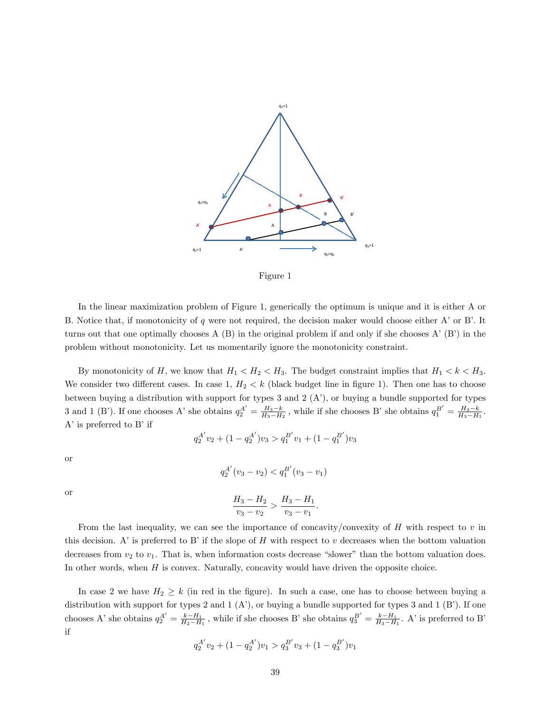

Figure 1

In the linear maximization problem of Figure 1, generically the optimum is unique and it is either A or B. Notice that, if monotonicity of  $q$  were not required, the decision maker would choose either A' or B'. It turns out that one optimally chooses  $A(B)$  in the original problem if and only if she chooses  $A'(B')$  in the problem without monotonicity. Let us momentarily ignore the monotonicity constraint.

By monotonicity of H, we know that  $H_1 < H_2 < H_3$ . The budget constraint implies that  $H_1 < k < H_3$ . We consider two different cases. In case 1,  $H_2 < k$  (black budget line in figure 1). Then one has to choose between buying a distribution with support for types 3 and 2  $(A')$ , or buying a bundle supported for types 3 and 1 (B'). If one chooses A' she obtains  $q_2^{A'} = \frac{H_3 - k}{H_3 - H_2}$ , while if she chooses B' she obtains  $q_1^{B'} = \frac{H_3 - k}{H_3 - H_1}$ .  $A'$  is preferred to  $B'$  if

$$
q_2^{A'}v_2 + (1 - q_2^{A'})v_3 > q_1^{B'}v_1 + (1 - q_1^{B'})v_3
$$

or

$$
q_2^{A'}(v_3 - v_2) < q_1^{B'}(v_3 - v_1)
$$

or

$$
\frac{H_3 - H_2}{v_3 - v_2} > \frac{H_3 - H_1}{v_3 - v_1}.
$$

From the last inequality, we can see the importance of concavity/convexity of  $H$  with respect to  $v$  in this decision. A' is preferred to B' if the slope of H with respect to v decreases when the bottom valuation decreases from  $v_2$  to  $v_1$ . That is, when information costs decrease "slower" than the bottom valuation does. In other words, when  $H$  is convex. Naturally, concavity would have driven the opposite choice.

In case 2 we have  $H_2 \geq k$  (in red in the figure). In such a case, one has to choose between buying a distribution with support for types 2 and 1  $(A')$ , or buying a bundle supported for types 3 and 1  $(B')$ . If one chooses A's he obtains  $q_2^{A'} = \frac{k-H_1}{H_2-H_1}$ , while if she chooses B's he obtains  $q_3^{B'} = \frac{k-H_1}{H_3-H_1}$ . A' is preferred to B' if

$$
q_2^{A'}v_2 + (1 - q_2^{A'})v_1 > q_3^{B'}v_3 + (1 - q_3^{B'})v_1
$$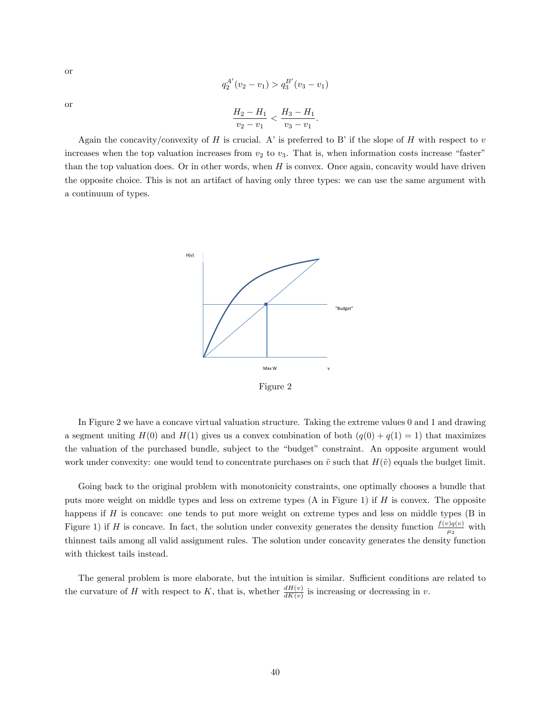or

$$
q_2^{A'}(v_2 - v_1) > q_3^{B'}(v_3 - v_1)
$$

$$
\frac{H_2 - H_1}{v_2 - v_1} < \frac{H_3 - H_1}{v_3 - v_1}.
$$

or

Again the concavity/convexity of H is crucial. A' is preferred to B' if the slope of H with respect to v increases when the top valuation increases from  $v_2$  to  $v_3$ . That is, when information costs increase "faster" than the top valuation does. Or in other words, when  $H$  is convex. Once again, concavity would have driven the opposite choice. This is not an artifact of having only three types: we can use the same argument with a continuum of types.



Figure 2

In Figure 2 we have a concave virtual valuation structure. Taking the extreme values 0 and 1 and drawing a segment uniting  $H(0)$  and  $H(1)$  gives us a convex combination of both  $(q(0) + q(1) = 1)$  that maximizes the valuation of the purchased bundle, subject to the "budget" constraint. An opposite argument would work under convexity: one would tend to concentrate purchases on  $\tilde{v}$  such that  $H(\tilde{v})$  equals the budget limit.

Going back to the original problem with monotonicity constraints, one optimally chooses a bundle that puts more weight on middle types and less on extreme types  $(A \text{ in Figure 1})$  if  $H$  is convex. The opposite happens if  $H$  is concave: one tends to put more weight on extreme types and less on middle types  $(B \text{ in }$ Figure 1) if H is concave. In fact, the solution under convexity generates the density function  $\frac{f(v)q(v)}{\mu_2}$  with thinnest tails among all valid assignment rules. The solution under concavity generates the density function with thickest tails instead.

The general problem is more elaborate, but the intuition is similar. Sufficient conditions are related to the curvature of H with respect to K, that is, whether  $\frac{dH(v)}{dK(v)}$  is increasing or decreasing in v.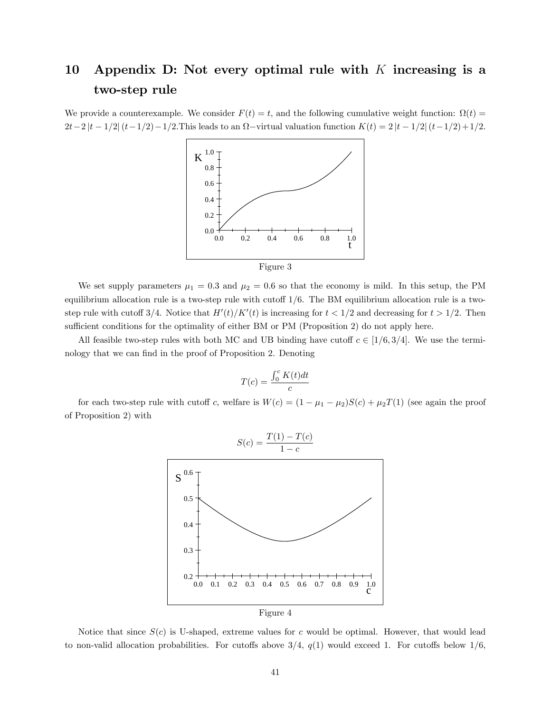# 10 Appendix D: Not every optimal rule with  $K$  increasing is a two-step rule

We provide a counterexample. We consider  $F(t) = t$ , and the following cumulative weight function:  $\Omega(t) =$  $2t-2|t-1/2|(t-1/2)-1/2$ . This leads to an  $\Omega$ -virtual valuation function  $K(t) = 2|t-1/2|(t-1/2)+1/2$ .



We set supply parameters  $\mu_1 = 0.3$  and  $\mu_2 = 0.6$  so that the economy is mild. In this setup, the PM equilibrium allocation rule is a two-step rule with cutoff  $1/6$ . The BM equilibrium allocation rule is a twostep rule with cutoff 3/4. Notice that  $H'(t)/K'(t)$  is increasing for  $t < 1/2$  and decreasing for  $t > 1/2$ . Then sufficient conditions for the optimality of either BM or PM (Proposition 2) do not apply here.

All feasible two-step rules with both MC and UB binding have cutoff  $c \in [1/6, 3/4]$ . We use the terminology that we can find in the proof of Proposition 2. Denoting

$$
T(c) = \frac{\int_0^c K(t)dt}{c}
$$

for each two-step rule with cutoff c, welfare is  $W(c) = (1 - \mu_1 - \mu_2)S(c) + \mu_2T(1)$  (see again the proof of Proposition 2) with



Figure 4

Notice that since  $S(c)$  is U-shaped, extreme values for c would be optimal. However, that would lead to non-valid allocation probabilities. For cutoffs above  $3/4$ ,  $q(1)$  would exceed 1. For cutoffs below  $1/6$ ,